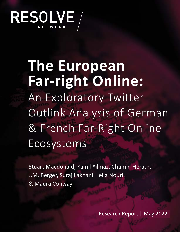

**The European Far-right Online:** An Exploratory Twitter Outlink Analysis of German & French Far-Right Online Ecosystems

Stuart Macdonald, Kamil Yilmaz, Chamin Herath, J.M. Berger, Suraj Lakhani, Lella Nouri, & Maura Conway

Research Report **|** May 2022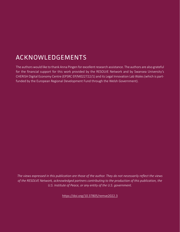# ACKNOWLEDGEMENTS

The authors would like to thank Anna Pingen for excellent research assistance. The authors are also grateful for the financial support for this work provided by the RESOLVE Network and by Swansea University's CHERISH Digital Economy Centre (EPSRC EP/M022722/1) and its Legal Innovation Lab Wales (which is partfunded by the European Regional Development Fund through the Welsh Government).

*The views expressed in this publication are those of the author. They do not necessarily reflect the views of the RESOLVE Network, acknowledged partners contributing to the production of this publication, the U.S. Institute of Peace, or any entity of the U.S. government.*

<https://doi.org/10.37805/remve2022.3>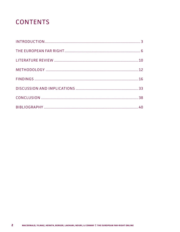# **CONTENTS**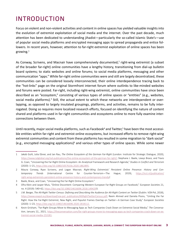# INTRODUCTION

Focus on violent and non-violent activities and content in online spaces has yielded valuable insights into the evolution of extremist exploitation of social media and the internet. Over the past decade, much attention has been dedicated to understanding jihadist—particularly the so-called Islamic State's—use of popular social media platforms and encrypted messaging apps to spread propaganda and entice followers. In recent years, however, attention to far-right extremist exploitation of online spaces has been growing.1

As Conway, Scrivens, and Macnair have comprehensively documented,<sup>2</sup> right-wing extremist (a subset of the broader far-right) online communities have a lengthy history, transitioning from dial-up bulletin board systems; to static websites and online forums; to social media platforms, messaging and other communication "apps." While far-right online communities were and still are largely decentralized, these communities can be considered loosely interconnected, their online interdependence tracing back to the "hot-links" page on the original Stormfront internet forum where outlinks to like-minded websites and forums were posted. Far-right, including right-wing extremist, online communities have since been described as an "ecosystem," consisting of various types of online spaces or "entities" (e.g., websites, social media platforms).<sup>3</sup> Still, the actual extent to which these networks are interdependent or overlapping, as opposed to largely insulated groupings, platforms, and activities, remains to be fully interrogated. Doing so requires more localized research efforts, focused on identifying the nature of content shared and platforms used in far-right communities and ecosystems online to more fully examine interconnections between them.

Until recently, major social media platforms, such as Facebook<sup>4</sup> and Twitter,<sup>5</sup> have been the most accessible entities within far-right and extremist online ecosystems, but increased efforts to remove right-wing extremist communities and content from these platforms has resulted in some migration to "dark social" (e.g., encrypted messaging applications)<sup>6</sup> and various other types of online spaces. While some newer

<sup>1</sup> Jakob Guhl, Julia Ebner, and Jan Rau, *The Online Ecosystem of the German Far-Right* (London: Institute for Strategic Dialogue, 2020), [https://www.isdglobal.org/isd-publications/the-online-ecosystem-of-the-german-far-right/;](https://www.isdglobal.org/isd-publications/the-online-ecosystem-of-the-german-far-right/) Stephane J. Baele, Lewys Brace, and Travis G. Coan, "Uncovering the Far-Right Online Ecosystem: An Analytical Framework and Research Agenda," *Studies in Conflict and Terrorism*  (2020): 1–21, [https://doi.org/10.1080/1057610x.2020.1862895.](https://doi.org/10.1080/1057610x.2020.1862895)

<sup>2</sup> Maura Conway, Ryan Scrivens, and Logan Macnair, *Right-Wing Extremists' Persistent Online Presence: History and Contemporary Trends* (International Centre for Counter-Terrorism—The Hague, 2019), [https://icct.nl/publication/](https://icct.nl/publication/right-wing-extremists-persistent-online-presence-history-and-contemporary-trends/) [right-wing-extremists-persistent-online-presence-history-and-contemporary-trends/](https://icct.nl/publication/right-wing-extremists-persistent-online-presence-history-and-contemporary-trends/).

<sup>3</sup> Baele, Brace, and Coan, "Uncovering the Far-Right Online Ecosystem."

<sup>4</sup> Ofra Klein and Jasper Muis, "Online Discontent: Comparing Western European Far-Right Groups on Facebook," *European Societies* 21, no. 4 (2019): 540–62, <https://doi.org/10.1080/14616696.2018.1494293>.

<sup>5</sup> J.M. Berger, *The Alt-Right Twitter Census: Defining and Describing the Audience for Alt-Right Content on Twitter* (Dublin: VOX-Pol, 2018), [https://www.voxpol.eu/download/vox-pol\\_publication/AltRightTwitterCensus.pdf](https://www.voxpol.eu/download/vox-pol_publication/AltRightTwitterCensus.pdf); Reem Ahmed and Daniela Pisoiu, "Uniting the Far Right: How the Far-Right Extremist, New Right, and Populist Frames Overlap on Twitter—A German Case Study," *European Societies*  (2020): 1–23, [https://doi.org/10.1080/14616696.2020.1818112.](https://doi.org/10.1080/14616696.2020.1818112)

<sup>6</sup> Kevin Grisham, "Far-Right Groups Move to Messaging Apps as Tech Companies Crack Down on Extremist Social Media," *The Conversation*, January 22,, 2021, [https://theconversation.com/far-right-groups-move-to-messaging-apps-as-tech-companies-crack-down-on-ex](https://theconversation.com/far-right-groups-move-to-messaging-apps-as-tech-companies-crack-down-on-extremist-social-media-153181)[tremist-social-media-153181.](https://theconversation.com/far-right-groups-move-to-messaging-apps-as-tech-companies-crack-down-on-extremist-social-media-153181)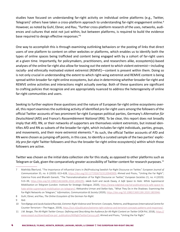studies have focused on understanding far-right activity on individual online platforms (e.g., Twitter, Telegram)<sup>7</sup> others have taken a cross-platform approach to understanding far-right engagement online.<sup>8</sup> However, as noted by Guhl, Ebner, and Rau, "further cross-platform research of the uses, networks, audiences and cultures that exist not just within, but between platforms, is required to build the evidence base required to design effective responses."9

One way to accomplish this is through examining outlinking behaviors or the posting of links that direct users of one platform to content on other websites or platforms, which enables us to identify both the types of online spaces being trafficked and content being engaged with by a cohort of far-right users at a given time. Importantly, for policymakers, practitioners, and researchers alike, ecosystem(s)-based analyses of the online far-right also allow for teasing out the extent to which violent extremist—including racially- and ethnically motivated violent extremist (REMVE)—content is present within them. Doing so is not only crucial in understanding the extent to which right-wing extremist and REMVE content is being spread within broader far-right online ecosystems, but also in determining whether broader far-right and REMVE online activities and interactions might actually overlap. Both of these questions are significant to crafting policies that recognize and are appropriately nuanced to address the heterogeneity of online far-right communities and users.

Seeking to further explore these questions and the nature of European far-right online ecosystems overall, this report examines the outlinking activity of identified pro-far-right users among the followers of the official Twitter accounts of two prominent far-right European political parties, Germany's *Alternative für Deutschland* (AfD) and France's *Rassemblement National* (RN). To be clear, this report does not broadly imply that AfD, RN, or their networks of supporters are themselves violent extremists, but instead identifies AfD and RN as subsets of the broader far-right, which includes far-right individuals, parties, groups, and movements, and their more extremist elements.<sup>10</sup> As such, the official Twitter accounts of AfD and RN were chosen as jumping-off points, in this case, to identify a curated sample of the two parties' *explicitly pro-far-right* Twitter followers and thus the broader far-right online ecosystem(s) within which those followers are active.

#### Twitter was chosen as the initial data collection site for this study, as opposed to other platforms such as Telegram or Gab, given the comparatively greater accessibility of Twitter content for research purposes.<sup>11</sup>

<sup>7</sup> Mathilda Åkerlund, "The Importance of Influential Users in (Re)Producing Swedish Far-Right Discourse on Twitter," *European Journal of Communication* 35, no. 6 (2020): 613–628, <https://doi.org/10.1177/0267323120940909>; Ahmed and Pisoiu, "Uniting the Far Right"; Caterina Froio and Bharath Ganesh, "The Transnationalisation of Far Right Discourse on Twitter," *European Societies* 21, no. 4 (2019): 513–39, <https://doi.org/10.1080/14616696.2018.1494295>; Jakob Guhl and Jacob Davey, *A Safe Space to Hate: White Supremacist Mobilisation on Telegram* (London: Institute for Strategic Dialogue, 2020), [https://www.isdglobal.org/isd-publications/a-safe-space-to](https://www.isdglobal.org/isd-publications/a-safe-space-to-hate-white-supremacist-mobilisation-on-telegram/)[hate-white-supremacist-mobilisation-on-telegram/;](https://www.isdglobal.org/isd-publications/a-safe-space-to-hate-white-supremacist-mobilisation-on-telegram/) Aleksandra Urman and Stefan Katz, "What They Do in the Shadows: Examining the Far-Right Networks on Telegram," *Information, Communication & Society* (2020), [https://doi.org/10.1080/1369118X.2020.1803946.](https://doi.org/10.1080/1369118X.2020.1803946)

<sup>8</sup> Guhl, Ebner, and Rau, *The Online Ecosystem of the German Far-Right*.

<sup>9</sup> Ibid.

<sup>10</sup> Tore Bjørgo and Jacob Aasland Ravndal, *Extreme-Right Violence and Terrorism: Concepts, Patterns, and Responses* (International Centre for Counter-Terrorism—The Hague, 2019),<https://icct.nl/publication/extreme-right-violence-and-terrorism-concepts-patterns-and-responses/>.

<sup>11</sup> J.M. Berger, *The Alt-Right Twitter Census: Defining and Describing the Audience for Alt-Right Content on Twitter* (VOX-Pol, 2018), [https://](https://www.voxpol.eu/download/vox-pol_publication/AltRightTwitterCensus.pdf) [www.voxpol.eu/download/vox-pol\\_publication/AltRightTwitterCensus.pdf;](https://www.voxpol.eu/download/vox-pol_publication/AltRightTwitterCensus.pdf) Ahmed and Pisoiu, "Uniting the Far Right."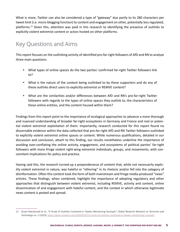What is more, Twitter can also be considered a type of "gateway" due partly to its 280 characters per tweet limit (i.e. micro-blogging function) to content and engagement on other, potentially less regulated, platforms.12 Given this, attention was paid in this research to identifying the presence of outlinks to explicitly violent extremist content or actors hosted on other platforms.

# Key Questions and Aims

This report focuses on the outlinking activity of identified pro-far-right followers of AfD and RN to analyze three main questions:

- **•** What types of online spaces do the two parties' confirmed far-right Twitter followers link to?
- **•** What is the nature of the content being outlinked to by these supporters and do any of these outlinks direct users to explicitly extremist or REMVE content?
- **•** What are the similarities and/or differences between AfD and RN's pro-far-right Twitter followers with regards to the types of online spaces they outlink to, the characteristics of these online entities, and the content housed within them?

Findings from this report point to the importance of ecological approaches to advance a more thorough and nuanced understanding of broader far-right ecosystems in Germany and France and real or potential violent extremist exploitation of them. Importantly, research conducted for this report found no discernable evidence within the data collected that pro-far-right AfD and RN Twitter followers outlinked to explicitly violent extremist online spaces or content. While numerous qualifications, detailed in our discussion and conclusion, attach to this finding, our results nonetheless underline the importance of avoiding over-conflating the online activity, engagement, and ecosystems of political parties' far-right followers with more fringe violent right-wing extremist individuals, groups, and movements, with concomitant implications for policy and practice.

Having said this, the research turned-up a preponderance of content that, while not necessarily explicitly violent extremist in nature, was hateful or "othering" in its rhetoric and/or fell into the category of disinformation. Often this content took the form of both mainstream and fringe media-produced "news" articles. These findings, when combined, highlight the importance of adopting regulatory and other approaches that distinguish between violent extremist, including REMVE, activity and content, online dissemination of and engagement with hateful content, and the context in which otherwise legitimate news content is posted and spread.

<sup>12</sup> Stuart Macdonald et al., "A Study of Outlinks Contained in Tweets Mentioning Rumiyah," *Global Research Network on Terrorism and Technology* no. 2 (2019), [https://gnet-research.org/2020/01/07/a-study-of-outlinks-contained-in-tweets-mentioning-rumiyah/.](https://gnet-research.org/2020/01/07/a-study-of-outlinks-contained-in-tweets-mentioning-rumiyah/)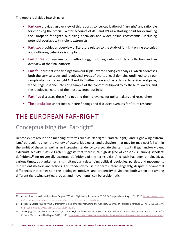The report is divided into six parts:

- Part one provides an overview of this report's conceptualization of "far-right" and rationale for choosing the official Twitter accounts of AfD and RN as a starting point for examining the European far-right's outlinking behaviors and wider online ecosystem(s), including potential overlaps with violent extremists;
- **•** Part two provides an overview of literature related to the study of far-right online ecologies and outlinking behaviors is supplied;
- **•** Part three summarizes our methodology, including details of data collection and an overview of the final dataset;
- **•** Part four presents the findings from our triple-layered ecological analysis, which addresses both the service types and ideological types of the top-level domains outlinked to by our sample of explicitly far-right AfD and RN Twitter followers, the technical types (i.e., webpage, video, page, channel, etc.) of a sample of the content outlinked to by these followers, and the ideological nature of the most-tweeted outlinks;
- Part five discusses these findings and their relevance for policymakers and researchers;
- **•** The conclusion underlines our core findings and discusses avenues for future research.

# THE EUROPEAN FAR-RIGHT

# Conceptualizing the "Far-right"

Debate exists around the meaning of terms such as "far-right," "radical right," and "right-wing extremism," particularly given the variety of actors, ideologies, and behaviors that may (or may not) fall within the ambit of these, as well as an increasing tendency to associate the terms with illegal and/or violent extremist activity.<sup>13</sup> While Carter suggests that there is "a high degree of consensus" among scholars' definitions,<sup>14</sup> no universally accepted definitions of the terms exist. And each has been employed, at various times, as blanket terms, simultaneously describing political ideologies, parties, and movements *and* violent rhetoric and actions. This tendency to use the terms interchangeably, despite fundamental differences that can exist in the ideologies, motives, and propensity to violence both within and among different right-wing parties, groups, and movements, can be problematic.<sup>15</sup>

<sup>13</sup> Anders Ravik Jupskås and Iris Beau Segers, "What is Right-Wing Extremism?," *C-REX Compendium*, August 31, 2020, [https://www.sv.uio.](https://www.sv.uio.no/c-rex/english/groups/compendium/what-is-right-wing-extremism.html) [no/c-rex/english/groups/compendium/what-is-right-wing-extremism.html.](https://www.sv.uio.no/c-rex/english/groups/compendium/what-is-right-wing-extremism.html)

<sup>14</sup> Elisabeth Carter, "Right-Wing Extremism/Radicalism: Reconstructing the Concept," *Journal of Political Ideologies* 23, no. 2 (2018): 174, <https://doi.org/10.1080/13569317.2018.1451227>.

<sup>15</sup> Tore Bjørgo and Jacob Aasland Ravndal, *Extreme-Right Violence and Terrorism: Concepts, Patterns, and Responses* (International Centre for Counter-Terrorism—The Hague, 2019), 1–22, [https://icct.nl/publication/extreme-right-violence-and-terrorism-concepts-patterns-and-responses/.](https://icct.nl/publication/extreme-right-violence-and-terrorism-concepts-patterns-and-responses/)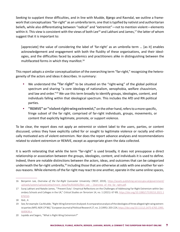Seeking to supplant these difficulties, and in line with Mudde, Bjørgo and Ravndal, we outline a framework that conceptualizes "far-right" as an umbrella term, one that is typified by nativist and authoritarian beliefs, while also differentiating between "radical" and "extremist"—not to mention violent—elements within it. This view is consistent with the views of both Lee<sup>16</sup> and Lakhani and James,<sup>17</sup> the latter of whom suggest that it is important to:

[appreciate] the value of considering the label of 'far-right' as an umbrella term … [as it] enables acknowledgement and engagement with both the fluidity of these organisations, and their ideologies, and the difficulties faced by academics and practitioners alike in distinguishing between the multifaceted forms in which they manifest.<sup>18</sup>

This report adopts a similar conceptualization of the overarching term "far-right," recognizing the heterogeneity of the actors and ideas it describes. In summary:

- **•** We understand the **"far right"** to be situated on the "right-wing" of the global political spectrum and sharing "a core ideology of nationalism, xenophobia, welfare chauvinism, and law and order.<sup>"19</sup> We use this term broadly to identify groups, ideologies, content, and individuals falling within that ideological spectrum. This includes the AfD and RN political parties.
- **• "REMVE" or "violent right-wing extremist,"** on the other hand, refers to a more specific, fringe subset of the far right, comprised of far-right individuals, groups, movements, or content that explicitly legitimate, promote, or support violence.

To be clear, the report does not apply an extremist or violent label to the users, parties, or content discussed, unless they have explicitly called for or sought to legitimate violence or racially and ethnically motivated acts of violent extremism. Nor does the report advance analyses and recommendations related to violent extremism or REMVE, except as appropriate given the data collected.

It is worth reiterating that while the term "far-right" is used broadly, it does not presuppose a direct relationship or association between the groups, ideologies, content, and individuals it is used to define. Indeed, there are notable distinctions between the actors, ideas, and outcomes that can be categorized underneath the far-right umbrella,<sup>20</sup> including those that are otherwise at odds with one another for various reasons. While elements of the far right may react to one another, operate in the same online spaces,

<sup>16</sup> Benjamin Lee, *Overview of the Far-Right* (Lancaster University: CREST, 2019), [https://assets.publishing.service.gov.uk/government/](https://assets.publishing.service.gov.uk/government/uploads/system/uploads/attachment_data/file/816692/Ben_Lee_-_Overview_of_the_far_right.pdf) uploads/system/uploads/attachment\_data/file/816692/Ben\_Lee - Overview\_of\_the\_far\_right.pdf.

<sup>17</sup> Suraj Lakhani and Natalie James, "'Prevent Duty': Empirical Reflections on the Challenges of Addressing Far-Right Extremism within Secondary Schools and Colleges in the UK," *Critical Studies on Terrorism* 14, no. 1 (2021): 67-89, [https://doi.org/10.1080/17539153.2021.1](https://doi.org/10.1080/17539153.2021.1876550) [876550](https://doi.org/10.1080/17539153.2021.1876550).

<sup>18</sup> Ibid., 4.

<sup>19</sup> See, for example: Cas Mudde, "Right-Wing Extremism Analysed: A comparative analysis of the ideologies of three alleged right-wing extremist parties (NPD, NDP, CP'86)," *European Journal of Political Research* 27, no. 2 (1995): 203-224, [https://doi.org/10.1111/j.1475-6765.1995.](https://doi.org/10.1111/j.1475-6765.1995.tb00636.x) [tb00636.x](https://doi.org/10.1111/j.1475-6765.1995.tb00636.x).

<sup>20</sup> Jupskås and Segers, "What is Right-Wing Extremism?"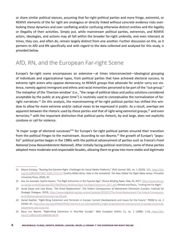or share similar political stances, assuming that far-right political parties and more fringe, extremist, or REMVE elements of the far right are analogous or directly linked without concrete evidence risks overlooking these dynamics and over conflating and/or confusing otherwise distinct entities and the legality or illegality of their activities. Simply put, while mainstream political parties, extremists, and REMVE actors, ideologies, and actions may all fall within the broader far-right umbrella, and even intersect at times, they can, and often do, remain largely distinct from one another. Further discussion on this, as it pertains to AfD and RN specifically and with regard to the data collected and analyzed for this study, is provided below.

# AfD, RN, and the European Far-right Scene

Europe's far-right scene encompasses an extensive—at times interconnected—ideological grouping of individuals and organizational types, from political parties that have achieved electoral success, to extreme right actors who oppose democracy, to REMVE groups that advocate for and/or carry out violence, namely against immigrant and ethnic and racial minorities perceived to be part of the "out-group." The metaphor of the 'Overton window' (i.e., "the range of political ideas and policy solutions considered acceptable by the public at any given time") is routinely used to conceptualize the normalization of farright narratives.<sup>21</sup> On this analysis, the mainstreaming of far-right political parties has shifted this window to allow for more extreme and/or radical views to be expressed in public. As a result, overlaps are apparent between the rhetoric used by these parties and that of right-wing extremist groups,<sup>22</sup> and even terrorists,<sup>23</sup> with the important distinction that political party rhetoric, by and large, does not explicitly condone or call for violence.

"A major surge of electoral successes"24 for Europe's far-right political parties ensured their transition from the political fringes to the mainstream. According to von Beyme,<sup>25</sup> the growth of Europe's "populist" political parties began in the 1980s with the political advancement of parties such as France's *Front National* (now *Rassemblement National*). After initially facing political restrictions, some of these parties adopted more moderate and respectable facades, allowing them to grow into more stable and legitimate

<sup>21</sup> Maura Conway, "Routing the Extreme Right: Challenges for Social Media Platforms," *RUSI Journal* 165, no. 1 (2020): 111, [https://doi.](https://doi.org/10.1080/03071847.2020.1727157) [org/10.1080/03071847.2020.1727157](https://doi.org/10.1080/03071847.2020.1727157); Cynthia Miller-Idriss, *Hate in the Homeland: The New Global Far Right* (New Jersey: Princeton University Press, 2020), 45.

<sup>22</sup> See, for example: Sophie Gaston, "Far-Right Extremism in the Populist Age," *Demos Briefing Paper*, May 23, 2017, [https://www.demos.](https://www.demos.co.uk/wp-content/uploads/2017/06/Demos-Briefing-Paper-Far-Right-Extremism-2017.pdf) [co.uk/wp-content/uploads/2017/06/Demos-Briefing-Paper-Far-Right-Extremism-2017.pdf](https://www.demos.co.uk/wp-content/uploads/2017/06/Demos-Briefing-Paper-Far-Right-Extremism-2017.pdf); Ahmed and Pisoiu, "Uniting the Far Right."

<sup>23</sup> Jacob Davey and Julia Ebner, *'The Great Replacement': The Violent Consequences of Mainstream Extremism* (London: Institute for Strategic Dialogue, 2019), [https://www.isdglobal.org/wp-content/uploads/2019/07/The-Great-Replacement-The-Violent-Consequenc](https://www.isdglobal.org/wp-content/uploads/2019/07/The-Great-Replacement-The-Violent-Consequences-of-Mainstreamed-Extremism-by-ISD.pdf)[es-of-Mainstreamed-Extremism-by-ISD.pdf](https://www.isdglobal.org/wp-content/uploads/2019/07/The-Great-Replacement-The-Violent-Consequences-of-Mainstreamed-Extremism-by-ISD.pdf).

<sup>24</sup> Daniel Koehler, "Right-Wing Extremism and Terrorism in Europe: Current Developments and Issues for the Future," *PRISM* 6, no. 2 (2016): 87, [https://cco.ndu.edu/PRISM/PRISM-Volume-6-no-2/Article/839011/right-wing-extremism-and-terrorism-in-europe-current-de](https://cco.ndu.edu/PRISM/PRISM-Volume-6-no-2/Article/839011/right-wing-extremism-and-terrorism-in-europe-current-developments-and-issues-fo/)[velopments-and-issues-fo/.](https://cco.ndu.edu/PRISM/PRISM-Volume-6-no-2/Article/839011/right-wing-extremism-and-terrorism-in-europe-current-developments-and-issues-fo/)

<sup>25</sup> Klaus von Beyme, "Right-Wing Extremism in Post-War Europe," *West European Politics* 11, no. 2 (1988): 1-18, [https://doi.](https://doi.org/10.1080/01402388808424678) [org/10.1080/01402388808424678.](https://doi.org/10.1080/01402388808424678)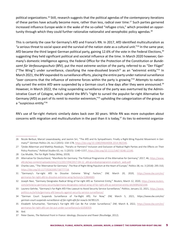political organizations.26 Still, research suggests that the political agendas of the contemporary iterations of these parties have actually become more, rather than less, radical over time.<sup>27</sup> Such parties garnered increased influence Europe-wide in the wake of the so-called "refugee crisis," which provided an opportunity through which they could further rationalize nationalist and xenophobic policy agendas.<sup>28</sup>

This is certainly the case for Germany's AfD and France's RN. In 2017, AfD identified multiculturalism as "a serious threat to social space and the survival of the nation state as a cultural unit."<sup>29</sup> In the same year, AfD became the third largest German political party, gaining 12.6% of the vote in the Federal Elections,<sup>30</sup> suggesting they held significant political and societal influence at the time. In March 2020 however, Germany's domestic intelligence agency, the Federal Office for the Protection of the Constitution or *Bundesamt für Verfassungsschutz* (BfV), put the most extreme section of the party, referred to as "Der Flügel" ("The Wing") under surveillance, classifying the now-dissolved branch<sup>31</sup> as an "extremist entity."<sup>32</sup> In March 2021, the BfV expanded its surveillance efforts, placing the entire party under national surveillance "over concerns that the influence of extreme forces within the party is growing."33 Attempts to nationally surveil the entire AfD were suspended by a German court a few days after they were announced.<sup>34</sup> However, in March 2022, the ruling suspending surveillance of the party was overturned by the Administrative Court of Cologne, which upheld the BfV's "right to surveil the populist far-right Alternative for Germany (AfD) as part of its remit to monitor extremism,"35 upholding the categorization of the group as a "suspicious entity."36

RN's use of far-right rhetoric similarly dates back over 30 years. While RN was more outspoken about concerns with migration and multiculturalism in the past than it is today, $37$  its ties to extremist organiza-

<sup>26</sup> Nicole Berbuir, Marcel Lewandowsky, and Jasmin Siri, "The AfD and Its Sympathisers: Finally a Right-Wing Populist Movement in Germany?" *German Politics* 24, no.2 (2015): 154–178, [https://doi.org/10.1080/09644008.2014.982546.](https://doi.org/10.1080/09644008.2014.982546)

<sup>27</sup> Tjitske Akkerman and Matthijs Rooduijn, "Pariahs or Partners? Inclusion and Exclusion of Radical Right Parties and the Effects on Their Policy Positions," *Political Studies* 63, no. 5 (2015): 1140–1157, [https://doi.org/10.1111/1467-9248.12146.](https://doi.org/10.1111/1467-9248.12146)

<sup>28</sup> Cas Mudde, *The Far Right Today* (Wiley, 2019).

<sup>29</sup> Alternative für Deutschland, "Manifesto for Germany: The Political Programme of the Alternative for Germany," 2017, 46, [https://www.](https://www.afd.de/wp-content/uploads/sites/111/2017/04/2017-04-12_afd-grundsatzprogramm-englisch_web.pdf) [afd.de/wp-content/uploads/sites/111/2017/04/2017-04-12\\_afd-grundsatzprogramm-englisch\\_web.pdf](https://www.afd.de/wp-content/uploads/sites/111/2017/04/2017-04-12_afd-grundsatzprogramm-englisch_web.pdf).

<sup>30</sup> Charles Lees, "The 'Alternative for Germany': The Rise of Right-Wing Populism at the Heart of Europe," *Politics* 38, no. 3 (2018): 295-310, <https://doi.org/10.1177/0263395718777718>.

<sup>31</sup> "Germany's Far-right AfD to Dissolve Extreme 'Wing' Faction," *DW,* March 20, 2020, [https://www.dw.com/en/](https://www.dw.com/en/germanys-far-right-afd-to-dissolve-extreme-wing-faction/a-52864683) [germanys-far-right-afd-to-dissolve-extreme-wing-faction/a-52864683](https://www.dw.com/en/germanys-far-right-afd-to-dissolve-extreme-wing-faction/a-52864683).

<sup>32</sup> Joseph Nasr, "Germany Designates Radical Wing of Far-right AfD as 'Extremist Entity,'" *Reuters*, March 12, 2020, [https://www.reuters.](https://www.reuters.com/article/us-germany-security/germany-designates-radical-wing-of-far-right-afd-as-extremist-entity-idUSKBN20Z1SW) [com/article/us-germany-security/germany-designates-radical-wing-of-far-right-afd-as-extremist-entity-idUSKBN20Z1SW.](https://www.reuters.com/article/us-germany-security/germany-designates-radical-wing-of-far-right-afd-as-extremist-entity-idUSKBN20Z1SW)

<sup>33</sup> Laurenz Gehrke, "Germany's Far-Right AfD Files Lawsuit to Avoid Security Service Surveillance," *Politico*, January 22, 2021, [https://www.](https://www.politico.eu/article/germany-afd-lawsuits-against-security-service-surveillance/) [politico.eu/article/germany-afd-lawsuits-against-security-service-surveillance/.](https://www.politico.eu/article/germany-afd-lawsuits-against-security-service-surveillance/)

<sup>34</sup> "German Court Suspends Surveillance of Far-Right AfD, For Now," *DW,* March 5, 2021, *[https://www.dw.com/en/](https://www.dw.com/en/german-court-suspends-surveillance-of-far-right-afd-for-now/a-56785125) [german-court-suspends-surveillance-of-far-right-afd-for-now/a-56785125](https://www.dw.com/en/german-court-suspends-surveillance-of-far-right-afd-for-now/a-56785125)*.

<sup>35</sup> Elizabeth Schumacher, "Germany's Far-right AfD Can Be Put Under Surveillance," *DW*, March 8, 2022, [https://www.dw.com/en/](https://www.dw.com/en/germanys-far-right-afd-can-be-put-under-surveillance/a-61058359) [germanys-far-right-afd-can-be-put-under-surveillance/a-61058359.](https://www.dw.com/en/germanys-far-right-afd-can-be-put-under-surveillance/a-61058359)

<sup>36</sup> Ibid.

<sup>37</sup> Peter Davies, *The National Front in France: Ideology, Discourse and Power* (Routledge, 2012).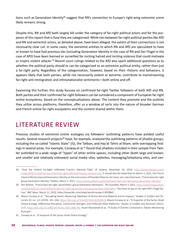tions such as Generation Identity<sup>38</sup> suggest that RN's connection to Europe's right-wing extremist scene likely remains strong.

Despite this, RN and AfD both largely fall under the category of far-right political actors and for the purposes of this report that is how they are categorized. While ties between far-right political parties like AfD and RN and extremist actors, as detailed above, have been alleged, the extent of their connections is not necessarily clear cut. In some cases, the extremist entities to which RN and AfD are speculated to have or known to have had previous ties (including Generation Identity in the case of RN and Der Flügel in the case of AfD) have been banned or surveilled for inciting hatred and inciting violence that could motivate or inspire violent attacks.<sup>39</sup> Recent court rulings related to the AfD also spark additional questions as to whether the political party should or can be categorized as an extremist political entity, rather than just a far-right party. Regardless of the categorization, however, based on their rhetoric and behaviors, it appears likely that both parties, while not necessarily violent or extreme, contribute to mainstreaming far-right anti-immigration and ethnonationalist sentiments—both online and off.

Examining this further, this study focuses on confirmed far-right Twitter followers of both AfD and RN. Both parties and their confirmed far-right followers can be considered a component of European far-right online ecosystems, based on the conceptualizations above. The content they promote and the outlinks they utilize across platforms, therefore, offer us a window of sorts into the nature of broader German and French online far-right ecosystems and the content shared within them.

# LITERATURE REVIEW

Previous studies of extremist online ecologies via followers' outlinking patterns have yielded useful results. Several research projects<sup>40</sup> have, for example, analyzed the outlinking patterns of jihadist groups, including the so-called "Islamic State" (IS), the Taliban, and Hay'at Tahrir al-Sham, with overlapping findings in several areas. For example, Conway et al.<sup>41</sup> found that jihadists included in their sample from Twitter outlinked to a wide range of "types" of other online spaces, including other (both large and known, and smaller and relatively unknown) social media sites, websites, messaging/telephony sites, and con-

<sup>38</sup> "How the Violent Far-Right Infiltrated France's National Rally," *Al Jazeera,* December 10, 2018, [https://www.aljazeera.com/](https://www.aljazeera.com/news/2018/12/10/how-the-violent-far-right-infiltrated-frances-national-rally) [news/2018/12/10/how-the-violent-far-right-infiltrated-frances-national-rally](https://www.aljazeera.com/news/2018/12/10/how-the-violent-far-right-infiltrated-frances-national-rally). It should also be noted that on March 3, 2021, the French Interior Ministry banned Generation Identity on the instructions of President Macron; for more, see: Jules Darmanin, "France bans far-right group Generation Identity," *Politico,* March 3, 2021, <https://www.politico.eu/article/france-bans-far-right-group-generation-identity/>.

<sup>39</sup> Kim Wilsher, "France bans far-right 'paramilitary' group Génération Identitaire," *The Guardian*, March 3, 2021, [https://www.theguardian.](https://www.theguardian.com/world/2021/mar/03/france-bans-far-right-paramilitary-group-generation-identitaire) [com/world/2021/mar/03/france-bans-far-right-paramilitary-group-generation-identitaire;](https://www.theguardian.com/world/2021/mar/03/france-bans-far-right-paramilitary-group-generation-identitaire) "Germany to spy on far-right AfD's Flügel faction," *BBC News,* March 12, 2020, *<https://www.bbc.com/news/world-europe-51850840>*.

<sup>40</sup> Maura Conway et al., "Disrupting Daesh: Measuring Takedown of Online Terrorist Material and Its Impacts," *Studies in Conflict and Terrorism* 42, no. 1/2 (2019): 141–160, [https://doi.org/10.4324/9781003015406-8;](https://doi.org/10.4324/9781003015406-8) Maura Conway et al., "A Snapshot of the Syrian Jihadi Online Ecology: Differential Disruption, Community Strength, and Preferred Other Platforms," *Studies in Conflict and Terrorism* (2021): 1-17, <https://doi.org/10.1080/1057610x.2020.1866736>; Stuart Macdonald et al., "A Study of Outlinks Contained in Tweets Mentioning Rumiyah."

<sup>41</sup> Conway et al., "A Snapshot of the Syrian Jihadi Online Ecology."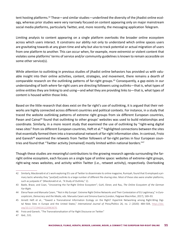tent hosting platforms.<sup>42</sup> These—and similar studies—underlined the diversity of the jihadist online ecology, whereas prior studies were very narrowly focused on content appearing only on major mainstream social media platforms, particularly Twitter, and, more recently, the messaging application Telegram.

Limiting analysis to content appearing on a single platform overlooks the broader online ecosystem across which users interact. It constrains our ability not only to understand which online spaces users are gravitating towards at any given time and why but also to track potential or actual migration of users from one platform to another. This can occur when, for example, more extremist or violent content that violates some platforms' terms of service and/or community guidelines is known to remain accessible on some other service(s).

While attention to outlinking in previous studies of jihadist online behaviors has provided us with valuable insight into their online activities, content, strategies, and movement, there remains a dearth of comparable research on the outlinking patterns of far-right groups.<sup>43</sup> Consequently, a gap exists in our understanding of both *where* far-right users are directing followers using outlinks—that is, what types of online entities they are linking to and using—and *what* they are providing links to—that is, what types of content is housed within those links.

Based on the little research that does exist on the far right's use of outlinking, it is argued that their networks are highly connected across different countries and political contexts. For instance, in a study that traced the website outlinking patterns of extreme right groups from six different European countries, Pavan and Cainai<sup>44</sup> found that outlinking to other groups' websites was used to build relationships and coordinate. Similarly, in a more recent study that examined the use of outlinking by "right-wing digital news sites" from six different European countries, Heft et al.<sup>45</sup> highlighted connections between the sites that essentially formed them into a transnational network of far-right information sites. In contrast, Froio and Ganesh<sup>46</sup> examined the retweets from Twitter followers of far-right parties in four European countries and found that "Twitter activity [remained] mostly limited within national borders."<sup>47</sup>

Though these studies are meaningful contributions to the growing research agenda surrounding the farright online ecosystem, each focuses on a single type of online space: websites of extreme-right groups, right-wing news websites, and activity within Twitter (i.e., retweet activity), respectively. Overlooking

<sup>42</sup> Similarly, Macdonald et al.'s work exploring IS's use of Twitter to disseminate its online magazine, Rumiyah, found that IS employed a primary tactic whereby they "post[ed] outlinks to a large number of different file-sharing sites. Most of these sites were smaller platforms, such as justpaste.it" (Macdonald et al., "A Study of Outlinks," 2).

<sup>43</sup> Baele, Brace, and Coan, "Uncovering the Far-Right Online Ecosystem"; Guhl, Ebner, and Rau, *The Online Ecosystem of the German Far-Right*.

<sup>44</sup> Elena Pavan and Manuela Caiani, "'Not in My Europe': Extreme Right Online Networks and Their Contestation of EU Legitimacy," in *Euroscepticism, Democracy and the Media*, eds. Manuela Caiani and Simona Guerra (London, Palgrave Macmillan, 2017), 169–93.

<sup>45</sup> Annett Heft et al., "Toward a Transnational Information Ecology on the Right? Hyperlink Networking among Right-Wing Digital News Sites in Europe and the United States," *International Journal of Press/Politics* 26, no. 2 (2020): 484–504, [https://doi.](https://doi.org/10.1177/1940161220963670) [org/10.1177/1940161220963670](https://doi.org/10.1177/1940161220963670).

<sup>46</sup> Froio and Ganesh, "The Transnationalisation of Far Right Discourse on Twitter."

<sup>47</sup> Ibid., 531.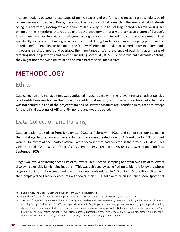interconnections between these types of online spaces and platforms and focusing on a single type of online space is illustrative of Baele, Brace, and Coan's concern that research in the area is at risk of "developing in a scattered, incomplete and non-cumulative way."48 In lieu of fragmented research on singular online entities, therefore, this report explores the development of a more cohesive picture of Europe's far-right online ecosystem via a triple-layered ecological approach, including a comparative element, that specifically focuses on outlinking activity and content. Using Twitter as an initial sampling point has the added benefit of enabling us to explore the "gateway" effect of popular social media sites in understanding ecosystem disconnects and overlaps: the importance and/or prevalence of outlinking as a means of directing users to platforms and content, including potentially REMVE or other violent extremist content, they might not otherwise utilize or see on mainstream social media sites.

# METHODOLOGY

## **Ethics**

Data collection and management was conducted in accordance with the relevant research ethics policies of all institutions involved in the project. For additional security and privacy protection, collected data was not shared outside of the project team and no Twitter accounts are identified in this report, except for the official accounts of AfD and RN, nor are any tweets quoted.

## Data Collection and Parsing

Data collection took place from January 11, 2021, to February 4, 2021, and comprised four stages. In the first stage, two separate subsets of Twitter users were created, one for AfD and one for RN. Included were all followers of each party's official Twitter account that had tweeted in the previous 15 days. This yielded a total of 27,418 users for @AfD (est. September 2012) and 39,797 users for @RNational off (est. September 2009).

Stage two involved filtering these lists of followers via purposive sampling to obtain two lists of followers displaying explicitly far-right inclinations.<sup>49</sup> This was achieved by using Python to identify followers whose biographical information contained one or more keywords related to AfD or RN.<sup>50</sup> An additional filter was then employed so that only accounts with fewer than 1,000 followers or an influence score (potential

<sup>48</sup> Baele, Brace, and Coan, "Uncovering the Far-Right Online Ecosystem," 2.

<sup>49</sup> Algorithmic filtering for bots was not implemented, as the accounts were manually vetted by the research team.

<sup>50</sup> The lists of keywords were created based on background reading and also iteratively by reviewing the biographies of users displaying explicitly far-right inclinations. For AfD, the keywords were: AfD, Pegida, patriot, meuthen, gauland, nationalist, right, junge, alternative, abascal, conscription, Wehrpflicht, anti-islam, gab.ai, trump, le pen, conservative, volk, RNational. For RN, the keywords were: Nazi, Marine, LePen, AfD, Pegida, patriot, steeve, briois, bardella, Rassemblement, Rally, Génération, souverainism, protection, nationalist, Generation Identity, alternative, immigration, pojadism, occident, anti-islam, gab.ai, RNational.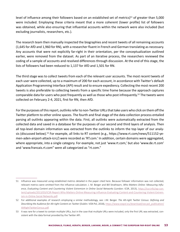level of influence among their followers based on an established set of metrics)<sup>51</sup> of greater than 5,000 were included. Employing these criteria meant that a more coherent (lower profile) list of followers was obtained, while also ensuring that influential accounts within the network were also included (but excluding journalists, researchers, etc.).

The research team then manually inspected the biographies and recent tweets of all remaining accounts (1,645 for AfD and 1,960 for RN), with a researcher fluent in French and German translating as necessary. Any accounts that were not explicitly far-right in their orientation, per the conceptualization outlined earlier, were removed from the dataset. As part of an iterative process, the researchers reviewed the coding of a sample of accounts and resolved differences through discussion. At the end of this stage, the lists of followers had been reduced to 1,137 for AfD and 1,501 for RN.

The third stage was to collect tweets from each of the relevant user accounts. The most recent tweets of each user were collected, up to a maximum of 200 for each account, in accordance with Twitter's default Application Programming Interface (API) result and to ensure expediency. Collecting the most recent 200 tweets is also preferable to collecting tweets from a specific time frame because the approach captures comparable data for users who post frequently as well as those who post infrequently.<sup>52</sup> The tweets were collected on February 2-4, 2021, first for RN, then AfD.

For the purposes of this report, outlinks refer to non-Twitter URLs that take users who click on them off the Twitter platform to other online spaces. The fourth and final stage of the data collection process entailed parsing all outlinks appearing within the data. First, all outlinks were automatically extracted from the collected data and saved in a database for the purposes of our second and third layers of analysis. Then all top-level domain information was extracted from the outlinks to inform the top layer of our analysis (discussed below).<sup>53</sup> For example, all links to RT content (e.g., https://www.rt.com/news/511152-yemen-aden-airport-attack-icrc/) were recorded as 'RT.com.' In addition, certain domains were aggregated, where appropriate, into a single category. For example, not just 'www.rt.com,' but also 'www.de.rt.com' and 'www.francais.rt.com" were all categorized as "rt.com."

<sup>51</sup> Influence was measured using established metrics detailed in the paper cited here. Because follower information was not collected, relevant metrics were omitted from the influence calculation. J. M. Berger and Bill Strathearn, *Who Matters Online: Measuring Influence, Evaluating Content and Countering Violent Extremism in Online Social Networks* (London: ICSR, 2013), [https://icsr.info/wp-con](https://icsr.info/wp-content/uploads/2013/03/ICSR-Report-Who-Matters-Online-Measuring-influence-Evaluating-Content-and-Countering-Violent-Extremism-in-Online-Social-Networks.pdf)[tent/uploads/2013/03/ICSR-Report-Who-Matters-Online-Measuring-influence-Evaluating-Content-and-Countering-Violent-Extrem](https://icsr.info/wp-content/uploads/2013/03/ICSR-Report-Who-Matters-Online-Measuring-influence-Evaluating-Content-and-Countering-Violent-Extremism-in-Online-Social-Networks.pdf)[ism-in-Online-Social-Networks.pdf.](https://icsr.info/wp-content/uploads/2013/03/ICSR-Report-Who-Matters-Online-Measuring-influence-Evaluating-Content-and-Countering-Violent-Extremism-in-Online-Social-Networks.pdf)

<sup>52</sup> For additional examples of research employing a similar methodology, see: J.M. Berger. *The Alt-right Twitter Census: Defining and Describing the Audience for Alt-right Content on Twitter* (Dublin: VOX-Pol, 2018), [https://www.voxpol.eu/download/vox-pol\\_publication/](https://www.voxpol.eu/download/vox-pol_publication/AltRightTwitterCensus.pdf) [AltRightTwitterCensus.pdf](https://www.voxpol.eu/download/vox-pol_publication/AltRightTwitterCensus.pdf).

<sup>53</sup> It was rare for a tweet to contain multiple URLs, but in the case that multiple URLs were included, only the first URL was extracted, consistent with the data format provided by the Twitter API.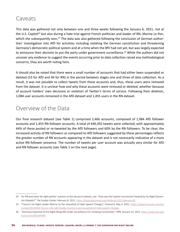## Caveats

This data was gathered not only between one and three weeks following the January 6, 2021, riot at the U.S. Capitol<sup>54</sup> but also during a hate trial against French politician and leader of RN, Marine Le Pen, which she subsequently won.<sup>55</sup> The data was also gathered following the conclusion of German authorities' investigation into AfD for activities including violating the German constitution and threatening Germany's democratic political system and at a time when the BfV had not yet, but was largely expected to announce their decision to put the party under government surveillance.<sup>56</sup> While the authors did not uncover any evidence to suggest the events occurring prior to data collection raised any methodological concerns, they are worth noting here.

It should also be noted that there were a small number of accounts that had either been suspended or deleted (53 for AfD and 46 for RN) in the period between stages one and three of data collection. As a result, it was not possible to collect tweets from these accounts and, thus, these users were removed from the dataset. It is unclear how and why these accounts were removed or deleted, whether because of account holders' own decisions or violation of Twitter's terms of service. Following their deletion, 1,084 user accounts remained in the AfD dataset and 1,455 users in the RN dataset.

## Overview of the Data

Our final research dataset (see Table 1) comprised 2,466 accounts, composed of 1,084 AfD follower accounts and 1,455 RN follower accounts. A total of 440,392 tweets were collected, with approximately 44% of these posted or re-tweeted by the AfD followers and 60% by the RN followers. To be clear, the increased activity of RN followers as compared to AfD followers suggested by these percentages reflects the greater number of RN accounts appearing in the dataset and is not necessarily indicative of a more active RN follower presence. The number of tweets per user account was actually very similar for AfD and RN follower accounts (see Table 1 on the next page).

<sup>54</sup> For RN and other far-right parties' reaction to the January 6 attacks, see: "How was the Capitol Insurrection Viewed by Far-Right Extremists Globally?" *The Soufan Center,* February 8, 2021, [https://thesoufancenter.org/intelbrief-2021-february-8/.](https://thesoufancenter.org/intelbrief-2021-february-8/)

<sup>55</sup> "France's Far-Right Leader Marine Le Pen Acquitted of Hate Speech Charges," *France24,* May 4, 2021, [https://www.france24.com/en/](https://www.france24.com/en/europe/20210504-france-s-far-right-leader-marine-le-pen-acquitted-of-hate-speech-charges) [europe/20210504-france-s-far-right-leader-marine-le-pen-acquitted-of-hate-speech-charges.](https://www.france24.com/en/europe/20210504-france-s-far-right-leader-marine-le-pen-acquitted-of-hate-speech-charges)

<sup>56</sup> "Germany Expected To Put Right-Wing AfD Under Surveillance For Violating Constitution," *NPR,* January 22, 2021, [https://www.npr.org/](https://www.npr.org/transcripts/959264440) [transcripts/959264440.](https://www.npr.org/transcripts/959264440)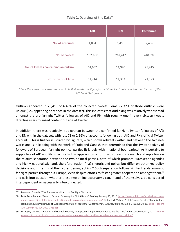|  |  |  | Table 1. Overview of the Data* |  |  |
|--|--|--|--------------------------------|--|--|
|--|--|--|--------------------------------|--|--|

|                                     | <b>AfD</b> | <b>RN</b> | <b>Combined</b> |
|-------------------------------------|------------|-----------|-----------------|
| No. of accounts                     | 1,084      | 1,455     | 2,466           |
| No. of tweets                       | 192,162    | 262,417   | 440,392         |
| No. of tweets containing an outlink | 14,637     | 14,970    | 28,415          |
| No. of distinct links               | 11,714     | 11,363    | 21,973          |

*\*Since there were some users common to both datasets, the figure for the "Combined" column is less than the sum of the "AfD" and "RN" columns.*

Outlinks appeared in 28,415 or 6.45% of the collected tweets. Some 77.32% of those outlinks were unique (i.e., appearing only once in the dataset). This indicates that outlinking was relatively widespread amongst the pro-far-right Twitter followers of AfD and RN, with roughly one in every sixteen tweets directing users to linked content outside of Twitter.

In addition, there was relatively little overlap between the confirmed far-right Twitter followers of AfD and RN within the dataset, with just 73 or 2.96% of accounts following both AfD and RN's official Twitter accounts. This is further illustrated by Figure 1, which shows retweets within and between the two networks and is in keeping with the work of Froio and Ganesh that determined that the Twitter activity of followers of European far-right political parties fit largely within national boundaries.<sup>57</sup> As it pertains to supporters of AfD and RN, specifically, this appears to conform with previous research and reporting on the relative separation between the two political parties, both of which promote Euroskeptic agendas and highly nationalistic (and, therefore, nation-first) rhetoric and policy, but differ on other key policy decisions and in terms of their voter demographics.<sup>58</sup> Such separation follows similar trends amongst far-right parties throughout Europe, even despite efforts to foster greater cooperation amongst them,<sup>59</sup> and calls into question whether these two online ecosystems can, in and of themselves, be considered interdependent or necessarily interconnected.

<sup>57</sup> Froio and Ganesh, "The Transnationalisaton of Far Right Discourse."

<sup>58</sup> Maïa De la Baume, "French, German Euroskeptics Plot Alliance," *Politico,* January 25, 2019, [https://www.politico.eu/article/french-ger](https://www.politico.eu/article/french-german-euroskeptics-plot-alliance-afd-national-rally-nicolas-bay-joerg-meuthen/)[man-euroskeptics-plot-alliance-afd-national-rally-nicolas-bay-joerg-meuthen/;](https://www.politico.eu/article/french-german-euroskeptics-plot-alliance-afd-national-rally-nicolas-bay-joerg-meuthen/) Richard McMahon, "Is Alt-Europe Possible? Populist Radical Right Counternarratives of European Integration," *Journal of Contemporary European Studies* 30, no. 1 (2022): 10-25, [https://doi.org](https://doi.org/10.1080/14782804.2021.1919865) [/10.1080/14782804.2021.1919865](https://doi.org/10.1080/14782804.2021.1919865).

<sup>59</sup> Lili Bayer, Maïa De la Baume, and Hannah Roberts, "European Far-Right Leaders Fail to Tie the Knot," *Politico,* December 4, 2021, [https://](https://www.politico.eu/article/viktor-orban-marine-le-pen-jaroslaw-kaczynski-europe-far-right-parties-coalition/) [www.politico.eu/article/viktor-orban-marine-le-pen-jaroslaw-kaczynski-europe-far-right-parties-coalition/](https://www.politico.eu/article/viktor-orban-marine-le-pen-jaroslaw-kaczynski-europe-far-right-parties-coalition/).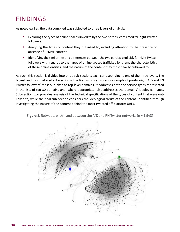# FINDINGS

As noted earlier, the data compiled was subjected to three layers of analysis:

- **•** Exploring the types of online spaces linked to by the two parties' confirmed far-right Twitter followers;
- **•** Analyzing the types of content they outlinked to, including attention to the presence or absence of REMVE content;
- **•** Identifying the similarities and differences between the two parties' explicitly far-right Twitter followers with regards to the types of online spaces trafficked by them, the characteristics of these online entities, and the nature of the content they most heavily outlinked to.

As such, this section is divided into three sub-sections each corresponding to one of the three layers. The largest and most detailed sub-section is the first, which explores our sample of pro-far-right AfD and RN Twitter followers' most outlinked to top-level domains. It addresses both the service types represented in the lists of top 30 domains and, where appropriate, also addresses the domains' ideological types. Sub-section two provides analysis of the technical specifications of the types of content that were outlinked to, while the final sub-section considers the ideological thrust of the content, identified through investigating the nature of the content behind the most tweeted off-platform URLs.



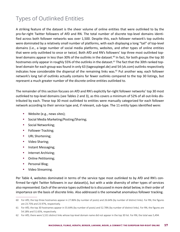# Types of Outlinked Entities

A striking feature of the dataset is the sheer volume of online entities that were outlinked to by the pro-far-right Twitter followers of AfD and RN. The total number of discrete top-level domains identified across both follower networks was over 1,500. Despite this, each follower network's top outlinks were dominated by a relatively small number of platforms, with each displaying a long "tail" of top-level domains (i.e., a large number of social media platforms, websites, and other types of online entities that were only outlinked to once or twice). Both AfD and RN's followers' top three most outlinked toplevel domains appear in less than 30% of the outlinks in the dataset.<sup>60</sup> In fact, for both groups the top 30 hostnames only appear in roughly 55% of the outlinks in the dataset.<sup>61</sup> The fact that the 30th ranked toplevel domain for each group was found in only 63 (tagesspiegel.de) and 54 (vk.com) outlinks respectively indicates how considerable the dispersal of the remaining links was.<sup>62</sup> Put another way, each follower network's long tail of outlinks actually contains far fewer outlinks compared to the top 30 listings, but represent a much greater number of the discrete online entities outlinked to.

The remainder of this section focuses on AfD and RN's explicitly far-right follower networks' top 30 most outlinked to top-level domains (see Tables 2 and 3), as this covers a minimum of 52% of all out-links distributed by each. These top 30 most outlinked to entities were manually categorized for each follower network according to their service type and, if relevant, sub-type. The 11 entity types identified were:

- **•** Website (e.g., news sites);
- **•** Social Media Marketing/Posting/Sharing;
- **•** Social Networking;
- **•** Follower Tracking;
- **•** URL Shortening;
- **•** Video Sharing;
- **•** Instant Messaging;
- **•** Internet Archiving;
- **•** Online Petitioning;
- **•** Personal Blog;
- **•** Video Streaming.

Per Table 4, websites dominated in terms of the service type most outlinked to by AfD and RN's confirmed far-right Twitter followers in our dataset(s), but with a wide diversity of other types of services also represented. Each of the service types outlinked to is discussed in more detail below, in their order of importance on the basis of discrete links. Also addressed is the somewhat anomalous follower tracking.

<sup>60</sup> For AfD, the top three hostnames appear in 27.86% (by number of posts) and 26.64% (by number of distinct links). For RN, the figures are 23.75% and 23.97%, respectively.

<sup>61</sup> For AfD, the top 30 hostnames appear in 55.64% (by number of posts) and 52.78% (by number of distinct links). For RN, the figures are 54.18% and 51.65%, respectively.

<sup>62</sup> For AfD, there were 5,531 distinct links whose top-level domain name did not appear in the top 30 list. For RN, the total was 5,494.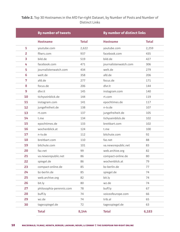### **Table 2.** Top 30 Hostnames in the AfD Far-right Dataset, by Number of Posts and Number of Distinct Links

|                | By number of tweets      |              |                       | By number of distinct links |  |  |
|----------------|--------------------------|--------------|-----------------------|-----------------------------|--|--|
|                | <b>Hostname</b>          | <b>Total</b> | <b>Hostname</b>       | <b>Total</b>                |  |  |
| 1              | youtube.com              | 2,622        | youtube.com           | 2,259                       |  |  |
| $\overline{2}$ | fllwrs.com               | 937          | facebook.com          | 435                         |  |  |
| 3              | bild.de                  | 519          | bild.de               | 427                         |  |  |
| 4              | facebook.com             | 471          | journalistenwatch.com | 306                         |  |  |
| 5              | journalistenwatch.com    | 434          | welt.de               | 279                         |  |  |
| 6              | welt.de                  | 358          | afd.de                | 206                         |  |  |
| 7              | afd.de                   | 277          | focus.de              | 171                         |  |  |
| 8              | focus.de                 | 206          | dlvr.it               | 144                         |  |  |
| 9              | dlvr.it                  | 145          | instagram.com         | 140                         |  |  |
| 10             | tichyseinblick.de        | 144          | rt.com                | 119                         |  |  |
| 11             | instagram.com            | 141          | epochtimes.de         | 117                         |  |  |
| 12             | jungefreiheit.de         | 138          | n-tv.de               | 107                         |  |  |
| 13             | rt.com                   | 137          | jungefreiheit.de      | 105                         |  |  |
| 14             | t.me                     | 134          | tichyseinblick.de     | 102                         |  |  |
| 15             | epochtimes.de            | 133          | breitbart.com         | 102                         |  |  |
| 16             | wochenblick.at           | 124          | t.me                  | 100                         |  |  |
| 17             | n-tv.de                  | 112          | bitchute.com          | 92                          |  |  |
| 18             | breitbart.com            | 110          | faz.net               | 88                          |  |  |
| 19             | bitchute.com             | 101          | va.newsrepublic.net   | 83                          |  |  |
| 20             | faz.net                  | 99           | web.archive.org       | 82                          |  |  |
| 21             | va.newsrepublic.net      | 86           | compact-online.de     | 80                          |  |  |
| 22             | spiegel.de               | 86           | wochenblick.at        | 79                          |  |  |
| 23             | compact-online.de        | 85           | bz-berlin.de          | 77                          |  |  |
| 24             | bz-berlin.de             | 85           | spiegel.de            | 74                          |  |  |
| 25             | web.archive.org          | 82           | bit.ly                | 74                          |  |  |
| 26             | bit.ly                   | 80           | wz.de                 | 74                          |  |  |
| 27             | philosophia-perennis.com | 78           | buff.ly               | 67                          |  |  |
| 28             | buff.ly                  | 74           | voiceofeurope.com     | 66                          |  |  |
| 29             | wz.de                    | 74           | trib.al               | 65                          |  |  |
| 30             | tagesspiegel.de          | 72           | tagesspiegel.de       | 63                          |  |  |
|                | <b>Total</b>             | 8,144        | <b>Total</b>          | 6,183                       |  |  |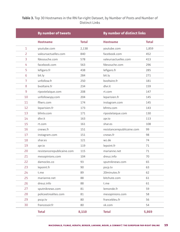### **Table 3.** Top 30 Hostnames in the RN Far-right Dataset, by Number of Posts and Number of Distinct Links

|                | <b>By number of tweets</b> |              |                            | By number of distinct links |  |  |
|----------------|----------------------------|--------------|----------------------------|-----------------------------|--|--|
|                | <b>Hostname</b>            | <b>Total</b> | <b>Hostname</b>            | <b>Total</b>                |  |  |
| 1              | youtube.com                | 2,138        | youtube.com                | 1,859                       |  |  |
| $\overline{2}$ | valeursactuelles.com       | 840          | facebook.com               | 452                         |  |  |
| 3              | fdesouche.com              | 578          | valeursactuelles.com       | 413                         |  |  |
| 4              | facebook.com               | 563          | fdesouche.com              | 296                         |  |  |
| 5              | lefigaro.fr                | 438          | lefigaro.fr                | 285                         |  |  |
| 6              | bit.ly                     | 284          | bit.ly                     | 271                         |  |  |
| 7              | unfollow.fr                | 250          | bvoltaire.fr               | 181                         |  |  |
| 8              | bvoltaire.fr               | 234          | dlvr.it                    | 159                         |  |  |
| 9              | ripostelaique.com          | 208          | rt.com                     | 147                         |  |  |
| 10             | unfollowspy.com            | 204          | leparisien.fr              | 145                         |  |  |
| 11             | fllwrs.com                 | 174          | instagram.com              | 145                         |  |  |
| 12             | leparisien.fr              | 173          | bfmtv.com                  | 143                         |  |  |
| 13             | bfmtv.com                  | 171          | ripostelaique.com          | 130                         |  |  |
| 14             | dlvr.it                    | 163          | zpr.io                     | 113                         |  |  |
| 15             | rt.com                     | 161          | shar.es                    | 108                         |  |  |
| 16             | cnews.fr                   | 151          | resistancerepublicaine.com | 99                          |  |  |
| 17             | instagram.com              | 151          | cnews.fr                   | 98                          |  |  |
| 18             | shar.es                    | 121          | wz.de                      | 74                          |  |  |
| 19             | zpr.io                     | 119          | lepoint.fr                 | 71                          |  |  |
| 20             | resistancerepublicaine.com | 115          | marianne.net               | 71                          |  |  |
| 21             | mesopinions.com            | 104          | dreuz.info                 | 70                          |  |  |
| 22             | damocles.co                | 93           | sputniknews.com            | 65                          |  |  |
| 23             | lepoint.fr                 | 90           | pscp.tv                    | 63                          |  |  |
| 24             | t.me                       | 89           | 20minutes.fr               | 62                          |  |  |
| 25             | marianne.net               | 88           | bitchute.com               | 61                          |  |  |
| 26             | dreuz.info                 | 88           | t.me                       | 61                          |  |  |
| 27             | sputniknews.com            | 81           | lemonde.fr                 | 59                          |  |  |
| 28             | policeetrealites.com       | 81           | mesopinions.com            | 58                          |  |  |
| 29             | pscp.tv                    | 80           | francebleu.fr              | 56                          |  |  |
| 30             | francesoir.fr              | 80           | vk.com                     | 54                          |  |  |
|                | <b>Total</b>               | 8,110        | <b>Total</b>               | 5,869                       |  |  |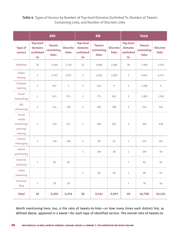#### **Table 4.** Types of Service by Number of Top-level Domains Outlinked To, Number of Tweets Containing Links, and Number of Discrete Links

|                                                      |                                                | <b>AfD</b>                                  |                                 |                                                | <b>RN</b>                                   |                                 |                                                | <b>Total</b>                                |                                 |  |
|------------------------------------------------------|------------------------------------------------|---------------------------------------------|---------------------------------|------------------------------------------------|---------------------------------------------|---------------------------------|------------------------------------------------|---------------------------------------------|---------------------------------|--|
| <b>Type of</b><br>service                            | <b>Top-level</b><br>domains<br>outlinked<br>to | <b>Tweets</b><br>containing<br><b>links</b> | <b>Discrete</b><br><b>links</b> | <b>Top-level</b><br>domains<br>outlinked<br>to | <b>Tweets</b><br>containing<br><b>links</b> | <b>Discrete</b><br><b>links</b> | <b>Top-level</b><br>domains<br>outlinked<br>to | <b>Tweets</b><br>containing<br><b>links</b> | <b>Discrete</b><br><b>links</b> |  |
| Websites                                             | 20                                             | 3,346                                       | 2,725                           | 21                                             | 3,958                                       | 2,589                           | 39                                             | 7,304                                       | 5,314                           |  |
| Video<br>sharing                                     | $\overline{2}$                                 | 2,723                                       | 2,351                           | $\overline{2}$                                 | 2,202                                       | 1,920                           | $\overline{2}$                                 | 4,925                                       | 4,271                           |  |
| Follower<br>tracking                                 | $1\,$                                          | 937                                         | $\mathbf{1}$                    | 3                                              | 623                                         | 4                               | 3                                              | 1,560                                       | 5                               |  |
| Social<br>networking                                 | $\overline{2}$                                 | 612                                         | 575                             | 3                                              | 771                                         | 651                             | 3                                              | 1,383                                       | 1,226                           |  |
| URL<br>shortening                                    | $\overline{2}$                                 | 151                                         | 139                             | $\overline{2}$                                 | 403                                         | 384                             | 3                                              | 554                                         | 523                             |  |
| Social<br>media<br>marketing/<br>posting/<br>sharing | $\overline{2}$                                 | 219                                         | 211                             | $\overline{2}$                                 | 284                                         | 267                             | 3                                              | 503                                         | 478                             |  |
| Instant<br>messaging                                 | $\mathbf 1$                                    | 134                                         | 100                             | $1\,$                                          | 89                                          | 61                              | $\,1$                                          | 223                                         | 161                             |  |
| Online<br>petitioning                                | $\overline{\phantom{a}}$                       | $\overline{\phantom{a}}$                    | $\overline{\phantom{a}}$        | $\mathbf 1$                                    | 104                                         | 58                              | $\,1$                                          | 104                                         | 58                              |  |
| Internet<br>archiving                                | $\mathbf{1}$                                   | 82                                          | 82                              |                                                |                                             |                                 | $\mathbf{1}$                                   | 82                                          | 82                              |  |
| Video<br>streaming                                   | $\blacksquare$                                 | $\overline{\phantom{a}}$                    | $\overline{\phantom{a}}$        | $\mathbf 1$                                    | 80                                          | 63                              | $\,1\,$                                        | 80                                          | 63                              |  |
| Personal<br>blog                                     | $\,1\,$                                        | 78                                          | 50                              | $\qquad \qquad -$                              | $\overline{\phantom{a}}$                    | $\overline{\phantom{a}}$        | $\,1\,$                                        | $78\,$                                      | 50                              |  |
| <b>Total</b>                                         | 32                                             | 8,282                                       | 6,234                           | 36                                             | 8,514                                       | 5,997                           | 58                                             | 16,796                                      | 12,231                          |  |

Worth mentioning here, too, is the ratio of tweets-to-links—or how many times each distinct link, as defined above, appeared in a tweet—for each type of identified service. The overall ratio of tweets-to-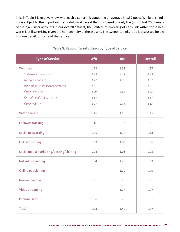links in Table 5 is relatively low, with each distinct link appearing on average in 1.37 posts. While this finding is subject to the important methodological caveat that it is based on only the (up to) last 200 tweets of the 2,466 user accounts in our overall dataset, the limited (re)tweeting of each link within these networks is still surprising given the homogeneity of these users. The tweets-to-links ratio is discussed below in more detail for some of the services.

| <b>Type of Service</b>                 | <b>AfD</b>               | <b>RN</b> | <b>Overall</b> |
|----------------------------------------|--------------------------|-----------|----------------|
| Websites                               | 1.23                     | 1.53      | 1.37           |
| State-owned news site                  | 1.15                     | 1.14      | 1.15           |
| Far-right news site                    | 1.27                     | 1.76      | 1.57           |
| Political party-associated news site   | 1.31                     |           | 1.31           |
| Other news site                        | 1.20                     | 1.31      | 1.25           |
| Far-right political party site         | 1.34                     |           | 1.34           |
| Other website                          | 1.04                     | 1.76      | 1.55           |
| <b>Video sharing</b>                   | 1.16                     | 1.15      | 1.15           |
| <b>Follower tracking</b>               | 937                      | 157       | 313            |
| Social networking                      | 1.06                     | 1.18      | 1.13           |
| <b>URL</b> shortening                  | 1.09                     | 1.05      | 1.06           |
| Social media marketing/posting/sharing | 1.04                     | 1.06      | 1.05           |
| Instant messaging                      | 1.34                     | 1.46      | 1.39           |
| Online petitioning                     |                          | 1.79      | 1.79           |
| Internet archiving                     | $1\,$                    |           | $1\,$          |
| Video streaming                        | $\overline{\phantom{0}}$ | 1.27      | 1.27           |
| Personal blog                          | 1.56                     |           | 1.56           |
| <b>Total</b>                           | 1.33                     | 1.42      | 1.37           |

#### **Table 5.** Ratio of Tweets : Links by Type of Service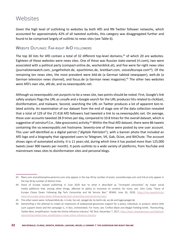## **Websites**

Given the high level of outlinking to websites by both AfD and RN Twitter follower networks, which accounted for approximately 42% of all tweeted outlinks, this category was disaggregated further and found to be comprised largely of outlinks to news sites (see Table 6).

### Website Outlinks: Far-right AfD followers

The top 30 lists for AfD contain a total of 32 different top-level domains,<sup>63</sup> of which 20 are websites. Eighteen of these websites were news sites. One of these was Russian state-owned (rt.com), two were associated with a political party (compact-online.de, wochenblick.at), and five were far-right news sites (journalistenwatch.com, jungefreiheit.de, epochtimes.de, breitbart.com, voiceofeurope.com<sup>64</sup>). Of the remaining ten news sites, the most prevalent were bild.de (a German tabloid newspaper), welt.de (a German television news channel), and focus.de (a German news magazine).<sup>65</sup> The other two websites were AfD's own site, afd.de, and va.newsrepublic.net.

Although va.newsrepublic.net purports to be a news site, two points should be noted. First, Google's link safety analysis flags the URL as unsafe and a Google search for the URL produces hits related to clickbait, disinformation, and malware. Second, searching the URL on Twitter produces a lot of apparent bot-related activity. An examination of our dataset from the end of stage one of the data collection revealed that a total of 129 of the 27,418 AfD followers had tweeted a link to va.newsrepublic.net. On average, these user accounts tweeted 28.9 times per day, compared to 10.8 times for the overall dataset, which is suggestive of astroturf (i.e., fake grassroots) activity.<sup>66</sup> Within the final AfD dataset, there were 86 tweets containing the va.newsrepublic.net hostname. Seventy-one of these were posted by one user account. This user self-identified as a digital patriot ("*digitale Patrioten*"), with a banner photo that included an AfD logo and a biography that signposted users to Telegram, VK, Gab, DLive, and BitChute. The account shows signs of automated activity. It is 11 years old, during which time it has posted more than 125,000 tweets (over 900 tweets per month). It posts outlinks to a wide variety of platforms, from YouTube and mainstream news sites to disinformation sites and personal blogs.

<sup>63</sup> fllwrs.com and philosophia-perennis.com only appear in the top 30 by number of posts; voiceofeurope.com and trib.al only appear in the top 30 by number of distinct links.

<sup>64</sup> Voice of Europe ceased publishing in June 2020 due to what it described as "increased censorship" by major social media platforms that, among other things, affected its ability to monetize its content; for more, see: John Cody, "Voice of Europe Closes Down Following Big Tech Censorship and Ad Service Ban," *REMIX,* June 26, 2020, [https://rmx.news/article/](https://rmx.news/article/voice-of-europe-closes-down-following-big-tech-censorship-and-ad-service-ban/) [voice-of-europe-closes-down-following-big-tech-censorship-and-ad-service-ban/](https://rmx.news/article/voice-of-europe-closes-down-following-big-tech-censorship-and-ad-service-ban/).

<sup>65</sup> The other seven were: tichyseinblick.de, n-tv.de, faz.net, spiegel.de, bz-berlin.de, wz.de and tagesspiegel.de.

<sup>66</sup> Astroturfing is the attempt to create an impression of widespread grassroots support for a policy, individual, or product, where little such support exists and the campaign is, in fact, orchestrated. For more, see: Crofton Black and Abigail Fielding-Smith, "Astroturfing, Twitter Bots, Amplification: Inside the Online Influence Industry," *NS Tech,* December 7, 2017, [https://tech.newstatesman.com/feature/](https://tech.newstatesman.com/feature/astroturfing-twitter-bots-amplification-inside-online-influence-industry) [astroturfing-twitter-bots-amplification-inside-online-influence-industry.](https://tech.newstatesman.com/feature/astroturfing-twitter-bots-amplification-inside-online-influence-industry)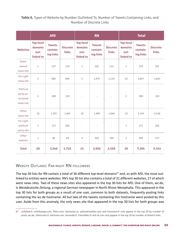#### **Table 6.** Types of Website by Number Outlinked To, Number of Tweets Containing Links, and Number of Discrete Links

|                                                 | <b>AfD</b>                                       |                                        |                                 | <b>RN</b>                                        |                                        |                                 | <b>Total</b>                                            |                                        |                                 |
|-------------------------------------------------|--------------------------------------------------|----------------------------------------|---------------------------------|--------------------------------------------------|----------------------------------------|---------------------------------|---------------------------------------------------------|----------------------------------------|---------------------------------|
| <b>Websites</b>                                 | <b>Top-level</b><br>domains<br>out-<br>linked to | <b>Tweets</b><br>contain-<br>ing links | <b>Discrete</b><br><b>links</b> | <b>Top-level</b><br>domains<br>out-<br>linked to | <b>Tweets</b><br>contain-<br>ing links | <b>Discrete</b><br><b>links</b> | <b>Top-level</b><br><b>domains</b><br>out-<br>linked to | <b>Tweets</b><br>contain-<br>ing links | <b>Discrete</b><br><b>links</b> |
| State-<br>owned<br>news site                    | $1\,$                                            | 137                                    | 119                             | $\overline{2}$                                   | 242                                    | 212                             | $\overline{2}$                                          | 379                                    | 331                             |
| Far-right<br>news site                          | 5                                                | 882                                    | 696                             | 5                                                | 1,975                                  | 1,119                           | 10                                                      | 2,857                                  | 1,815                           |
| Political<br>party-as-<br>sociated<br>news site | $\overline{2}$                                   | 209                                    | 159                             |                                                  | $\overline{\phantom{a}}$               |                                 | $\overline{2}$                                          | 209                                    | 159                             |
| Other<br>news site                              | 10                                               | 1,755                                  | 1,462                           | 10                                               | 1,399                                  | 1,064                           | 19                                                      | 3,154                                  | 2,526                           |
| Far-right<br>political<br>party site            | $\mathbf{1}$                                     | 277                                    | 206                             | $\overline{\phantom{a}}$                         | $\overline{\phantom{a}}$               | $\Box$                          | $1\,$                                                   | 277                                    | 206                             |
| Other<br>website                                | $\mathbf 1$                                      | 86                                     | 83                              | $\overline{4}$                                   | 342                                    | 194                             | 5                                                       | 428                                    | 277                             |
| <b>Total</b>                                    | 20                                               | 3,346                                  | 2,725                           | 21                                               | 3,958                                  | 2,589                           | 39                                                      | 7,304                                  | 5,314                           |

### WEBSITE OUTLINKS: FAR-RIGHT RN FOLLOWERS

The top 30 lists for RN contain a total of 36 different top-level domains<sup>67</sup> and, as with AfD, the most outlinked to entities were websites. RN's top 30 list also contains a total of 21 different websites, 17 of which were news sites. Two of these news sites also appeared in the top 30 lists for AfD. One of them, wz.de, is *Westdeutsche Zeitung*, a regional German newspaper in North Rhine-Westphalia. This appeared in the top 30 lists for both groups as a result of one user, common to both datasets, frequently posting links containing the wz.de hostname. All but two of the tweets containing this hostname were posted by this user. Aside from this anomaly, the only news site that appeared in the top 30 lists for both groups was

<sup>67</sup> unfollow.fr, unfollowspy.com, fllwrs.com, damocles.co, policeetrealites.com and francesoir.fr only appear in the top 30 by number of posts; wz.de, 20minutes.fr, bitchute.com, lemonde.fr, francebleu.fr and vk.com only appear in the top 30 by number of distinct links.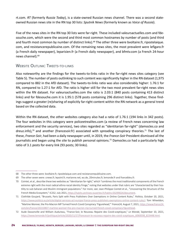rt.com. *RT* (formerly *Russia Today*), is a state-owned Russian news channel. There was a second stateowned Russian news site in the RN top 30 lists: *Sputnik News* (formerly known as *Voice of Russia*).

Five of the news sites in the RN top 30 lists were far-right. These included valeursactuelles.com and fdesouche.com, which were the second and third most common hostnames by number of posts (and third and fourth most common by number of distinct links).<sup>68</sup> The other three were bvoltaire.fr, ripostelaique. com, and resistancerepublicaine.com. Of the remaining news sites, the most prevalent were lefigaro.fr (a French daily newspaper), leparisien.fr (a French daily newspaper), and bfmtv.com (a French 24-hour news channel).69

#### WEBSITE OUTLINK: TWEETS-TO-LINKS

Also noteworthy are the findings for the tweets-to-links ratio in the far-right news sites category (see Table 5). The number of posts outlinking to such content was significantly higher in the RN dataset (1,975 compared to 882 in the AfD dataset). The tweets-to-links ratio was also considerably higher: 1.76:1 for RN, compared to 1.27:1 for AfD. The ratio is higher still for the two most prevalent far-right news sites within the RN dataset. For valeursactuelles.com the ratio is 2.03:1 (840 posts containing 413 distinct links) and for fdesouche.com it is 1.95:1 (578 posts containing 296 distinct links). Together, these findings suggest a greater (re)sharing of explicitly far-right content within the RN network as a general trend based on the collected data.

Within the RN dataset, the other websites category also had a ratio of 1.76:1 (194 links in 342 posts). The four websites in this category were policeetrealites.com (a review of French news concerning law enforcement and the security services), two sites regarded as "identitarian far-right" (damocles.co and dreuz.info),<sup>70</sup> and another (francesoir.fr) associated with spreading conspiracy theories.<sup>71</sup> The last of these, *France-Soir*, had been a daily newspaper until, in 2019, the *France-Soir* President dismissed all the journalists and began using the site to publish personal opinions.<sup>72</sup> Damocles.co had a particularly high ratio of 3.1 posts for every link (93 posts; 30 links).

<sup>68</sup> The other three were: bvoltaire.fr, ripostelaique.com and resistancerepublicaine.com.

<sup>69</sup> The other seven were: cnews.fr, lepoint.fr, marianne.net, wz.de, 20minutes.fr, lemonde.fr and francebleu.fr.

<sup>70</sup> Cointet, et al., describe these two websites as "identitarian far-right," which "combines the most traditionalist components of the French extreme right with the most radical ethno-racial identity fringe," noting that websites under that rubric are "characterized by their hostility to sub-Saharan and Muslim immigrant populations." For more, see: Jean-Philippe Cointet et al., "Uncovering the Structure of the French Media Ecosystem," *IC2S2*, July 2021, [https://halshs.archives-ouvertes.fr/halshs-03299024/document.](https://halshs.archives-ouvertes.fr/halshs-03299024/document)

<sup>71</sup> Clothilde Goujard, "Brussels, Paris Split with Press Publishers Over Exemptions in Online Content Rules," *Politico,* October 20, 2021, <https://www.politico.eu/article/digital-services-act-europe-france-press-publishers-exemptions-online-content-rules/>; Tom Wheeldon, "Martine Wonner, the Pro-Macron MP Turned French Covid Conspiracy 'Figurehead,'" *France24,* August 7, 2021, [https://www.france24.](https://www.france24.com/en/france/20210807-martine-wonner-the-pro-macron-mp-turned-french-covid-conspiracy-figurehead) [com/en/france/20210807-martine-wonner-the-pro-macron-mp-turned-french-covid-conspiracy-figurehead](https://www.france24.com/en/france/20210807-martine-wonner-the-pro-macron-mp-turned-french-covid-conspiracy-figurehead).

<sup>72</sup> Aude Dassonville and William Audureau, "France-Soir, le Nouveau Repaire des Covid-sceptiques," *Le Monde,* September 10, 2021, [https://www.lemonde.fr/politique/article/2020/11/17/francesoir-le-nouveau-repaire-des-covid-sceptiques\\_6060038\\_823448.html](https://www.lemonde.fr/politique/article/2020/11/17/francesoir-le-nouveau-repaire-des-covid-sceptiques_6060038_823448.html).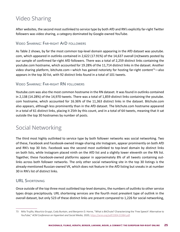# Video Sharing

After websites, the second most outlinked to service type by both AfD and RN's explicitly far-right Twitter followers was video sharing, a category dominated by Google-owned YouTube.

#### Video Sharing: Far-right AfD followers

As Table 2 shows, by far the most common top-level domain appearing in the AfD dataset was youtube. com, which appeared in outlinks contained in 2,622 (17.91%) of the 14,637 overall (re)tweets posted by our sample of confirmed far-right AfD followers. There was a total of 2,259 distinct links containing the youtube.com hostname, which accounted for 19.28% of the 11,714 distinct links in the dataset. Another video sharing platform, bitchute.com—which has gained notoriety for hosting far-right content<sup>73</sup>—also appears in the top 30 list, with 92 distinct links found in a total of 101 tweets.

#### Video Sharing: Far-right RN followers

Youtube.com was also the most common hostname in the RN dataset. It was found in outlinks contained in 2,138 (14.28%) of the 14,970 tweets. There was a total of 1,859 distinct links containing the youtube. com hostname, which accounted for 16.36% of the 11,363 distinct links in the dataset. Bitchute.com also appears, although less prominently than in the AfD dataset. The bitchute.com hostname appeared in a total of 61 distinct links, placing it 25th by this count, and in a total of 64 tweets, meaning that it sat outside the top 30 hostnames by number of posts.

## Social Networking

The third most highly outlinked to service type by both follower networks was social networking. Two of these, Facebook and Facebook-owned image-sharing site Instagram, appear prominently on both AfD and RN's top 30 lists. Facebook was the second most outlinked to top-level domain by distinct links on both lists, while Instagram placed ninth on the AfD list and a slightly lower eleventh on the RN list. Together, these Facebook-owned platforms appear in approximately 8% of all tweets containing outlinks across both follower networks. The only other social networking site in the top 30 listings is the already-mentioned Russian-owned VK, which does not feature in the AfD listing but sneaks in at number 30 in RN's list of distinct links.

### URL Shortening

Once outside of the top three most outlinked top-level domains, the numbers of outlinks to other service types drops precipitously. URL shortening services are the fourth most prevalent type of outlink in the overall dataset, but only 523 of these distinct links are present compared to 1,226 for social networking,

<sup>73</sup> Milo Trujillo, Maurício Gruppi, Cody Buntain, and Benjamin D. Horne, "What is BitChute? Characterizing the 'Free Speech' Alternative to YouTube," *ACM Conference on Hypertext and Social Media,* 2020, <https://arxiv.org/pdf/2004.01984.pdf>.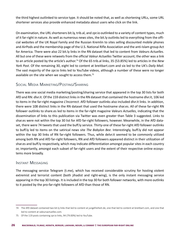the third highest outlinked to service type. It should be noted that, as well as shortening URLs, some URL shortener services also provide enhanced metadata about users who click on the link.

On examination, the URL shorteners bit.ly, trib.al, and zpr.io outlinked to a variety of content types, much of it far-right in nature. As well as numerous news sites, the bit.ly outlinks led to everything from the official websites of the UK Royal Family and the Russian Kremlin to sites selling discounted mobile phones and AirPods and the membership page of the U.S. National Rifle Association and the anti-Islam group Act for America. There were also 22 bit.ly links in the RN dataset that led to content from *Valeurs Actuelles*. All but one of these were retweets from the official *Valeur Actuelles* Twitter account; the other was a link to an article posted by the article's author.74 Of the 65 trib.al links, 35 (53.85%) led to articles in the *New York Post*. Of the remaining 30, eight led to content at breitbart.com and six led to the UK's *Daily Mail*. The vast majority of the zpr.io links led to YouTube videos, although a number of these were no longer available on the site when we sought to access them.<sup>75</sup>

### Social Media Marketing/Posting/Sharing

There was one social media marketing/posting/sharing service that appeared in the top 30 lists for both AfD and RN: dlvr.it. Of the 159 distinct links in the RN dataset that contained the hostname dlvr.it, 106 led to items in the far-right magazine *L'Incorrect*. AfD follower outlinks also included dlvr.it links. In addition, there were 108 distinct links in the RN dataset that used the hostname shar.es. All of these far-right RN follower outlinks to share.es led to items in the far-right magazine *Valeurs Actuelles*, indicating that the dissemination of links to this publication via Twitter was even greater than Table 3 suggested. Links to shar.es were not within the top 30 list for AfD far-right followers, however. Meanwhile, in the AfD dataset, there were 74 tweets that used the buff.ly service. Thirty-one of these far-right AfD follower outlinks to buff.ly led to items on the satirical news site *The Babylon Bee*. Interestingly, buff.ly did not appear within the top 30 links of RN far-right followers. Thus, while delvr.it seemed to be commonly utilized among both RN and AfD far-right followers, RN and AfD followers appeared distinct in their utilization of shar.es and buff.ly respectively, which may indicate differentiation amongst popular sites in each country or, importantly, amongst each subset of far-right users and the extent of their respective online ecosystems more broadly.

#### Instant Messaging

The messaging service Telegram (t.me), which has received considerable scrutiny for hosting violent extremist and terrorist content (both jihadist and right-wing), is the only instant messaging service appearing in the top 30 listings. It is included in the top 30 for both follower networks, with more outlinks to it posted by the pro-far-right followers of AfD than those of RN.

<sup>74</sup> The AfD dataset contained two bit.ly links that led to content at jungefreiheit.de, one that led to content at breitbart.com, and one that led to content at valeursactuelles.com.

<sup>75</sup> Of the 119 posts containing zpr.io links, 94 (79.00%) led to YouTube.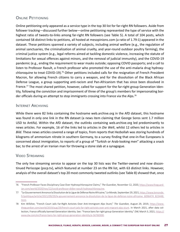### ONLINE PETITIONING

Online petitioning only appeared as a service type in the top 30 list for far-right RN followers. Aside from follower tracking—discussed further below—online petitioning represented the type of service with the highest ratio of tweets-to-links among far-right RN followers (see Table 5). A total of 104 posts, which contained 58 distinct links to petitions, all hosted at mesopinions.com (a ratio of 1.79:1) appeared in the dataset. These petitions spanned a variety of subjects, including animal welfare (e.g., the regulation of animal sanctuaries, the criminalization of animal cruelty, and year-round outdoor poultry farming), the criminal justice system (e.g., legal reforms aimed at tackling domestic violence, increasing the statute of limitations for sexual offences against minors, and the removal of judicial immunity), and the COVID-19 pandemic (e.g., ending the requirement to wear masks outside; opposing COVID passports; and a call to listen to Professor Raoult, a French professor who promoted the use of the anti-malaria drug hydroxychloroquine to treat COVID-19).76 Other petitions included calls for the resignation of French President Macron, for allowing French citizens to carry a weapon, and for the dissolution of the Black African Defense League, a group supporting anti-racism and Pan-Africanism that has since been dissolved in France.<sup>77</sup> The most shared petition, however, called for support for the far-right group Generation Identity, following the conviction and imprisonment of three of the group's members for impersonating border officials during an attempt to stop immigrants crossing into France via the Alps.<sup>78</sup>

#### INTERNET ARCHIVING

While there were 82 links containing the hostname web.archive.org in the AfD dataset, this hostname was found in only one link in the RN dataset (a news item claiming that George Soros sent 1.7 million USD to Antifa). Within the AfD dataset, the outlinks containing web.archive.org led predominantly to news articles. For example, 16 of the links led to articles in *Die Welt*, whilst 12 others led to articles in *Bild*. These news articles covered a range of topics, from reports that Hezbollah was storing hundreds of kilograms of ammonium nitrate in southern Germany, to a survey finding that one-in-five Europeans is concerned about immigration, to reports of a group of "Turkish or Arab-looking men" attacking a snack bar, to the arrest of an Iranian man for throwing a stone slab at a synagogue.

#### Video Streaming

The only live streaming service to appear on the top 30 lists was the Twitter-owned and now discontinued Periscope (pscp.tv), which featured at number 23 on the RN list, with 63 distinct links. However, analysis of the overall dataset's top 20 most commonly tweeted outlinks (see Table 8) showed that, once

<sup>76</sup> "French Professor Faces Disciplinary Case Over Hydroxychloroquine Claims," *The Guardian,* November 12, 2020, [https://www.theguard](https://www.theguardian.com/world/2020/nov/12/covid-professor-didier-raoult-hydroxychloroquine)[ian.com/world/2020/nov/12/covid-professor-didier-raoult-hydroxychloroquine.](https://www.theguardian.com/world/2020/nov/12/covid-professor-didier-raoult-hydroxychloroquine)

<sup>77</sup> "Le Gouvernement Annonce la Dissolution de la Ligue de Défense Noire Africaine," *Le Monde,* September 29, 2021, [https://www.lemonde.](https://www.lemonde.fr/politique/article/2021/09/29/le-gouvernement-annonce-la-dissolution-de-la-ligue-de-defense-noire-africaine_6096474_823448.html) [fr/politique/article/2021/09/29/le-gouvernement-annonce-la-dissolution-de-la-ligue-de-defense-noire-africaine\\_6096474\\_823448.](https://www.lemonde.fr/politique/article/2021/09/29/le-gouvernement-annonce-la-dissolution-de-la-ligue-de-defense-noire-africaine_6096474_823448.html) [html.](https://www.lemonde.fr/politique/article/2021/09/29/le-gouvernement-annonce-la-dissolution-de-la-ligue-de-defense-noire-africaine_6096474_823448.html)

<sup>78</sup> Kim Willsher, "French Court Jails Far-Right Activists Over Anti-Immigrant Alps Stunt," *The Guardian,* August 29, 2019, [https://www.](https://www.theguardian.com/world/2019/aug/29/french-court-jails-far-right-activists-over-anti-migrant-alps-stunt) [theguardian.com/world/2019/aug/29/french-court-jails-far-right-activists-over-anti-migrant-alps-stunt.](https://www.theguardian.com/world/2019/aug/29/french-court-jails-far-right-activists-over-anti-migrant-alps-stunt) In March 2021, after data collection, France officially banned Generation Identity. See: "France bans far-right group Generation Identity," *DW,* March 3, 2021, [https://](https://www.dw.com/en/france-bans-far-right-group-generation-identity/a-56760300) [www.dw.com/en/france-bans-far-right-group-generation-identity/a-56760300](https://www.dw.com/en/france-bans-far-right-group-generation-identity/a-56760300).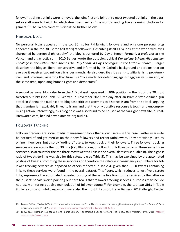follower tracking outlinks were removed, the joint first and joint third most tweeted outlinks in the dataset overall were to twitch.tv, which describes itself as "the world's leading live streaming platform for gamers."79 The Twitch content is discussed further below.

### PERSONAL BLOG

No personal blogs appeared in the top 30 list for RN far-right followers and only one personal blog appeared in the top 30 list for AfD far-right followers. Describing itself as "a look at the world with eyes sharpened by perennial philosophy," the blog is authored by David Berger. Formerly a professor at the Vatican and a gay activist, in 2010 Berger wrote the autobiographical *Der heilige Schein: Als schwuler Theologe in der katholischen Kirche* (*The Holy Sham: A Gay Theologian in the Catholic Church*). Berger describes the blog as liberal-conservative and informed by his Catholic background and claims that on average it receives two million clicks per month. He also describes it as anti-totalitarianism, pro-American, and pro-Israel, asserting that Israel is a "role model for defending against aggressive Islam and, at the same time, upholding human rights and democracy."

A second personal blog (also from the AfD dataset) appeared in 20th position in the list of the 20 most tweeted outlinks (see Table 8). Written in November 2020, the day after an Islamic State-claimed gun attack in Vienna, the outlinked-to blogpost criticized attempts to distance Islam from the attack, arguing that Islamism is inextricably linked to Islam, and that the only possible response is tough and uncompromising action. Interestingly, this blog post was also found to be housed at the far-right news site journalistenwatch.com, behind a web.archive.org outlink.

### Follower Tracking

Follower trackers are social media management tools that allow users—in this case Twitter users—to be notified of and get metrics on their new followers and recent unfollowers. They are widely used by online influencers, but also by "ordinary" users, to keep track of their followers. Three follower tracking services appear across the top 30 lists (i.e., fllwrs.com, unfollow.fr, unfollowspy.com). These same three services also account for the top three most tweeted links in the overall dataset (see Table 8). The highest ratio of tweets-to-links was also for this category (see Table 5). This may be explained by the automated posting of tweets promoting these services and therefore the relative inconsistency in numbers for follower tracking services as opposed to others reflected in Table 4, given that 1,560 tweets containing links to these services were found in the overall dataset. This figure, which reduces to just five discrete links, represents the automated repeated posting of the same five links to the services by the latter on their users' behalf. Worth pointing out here too is that follower tracking services' purposes may include not just monitoring but also manipulation of follower counts.<sup>80</sup> For example, the top two URLs in Table 8, fllwrs.com and unfollowspy.com, were also the most linked-to URLs in Berger's 2018 alt-right Twitter

<sup>79</sup> Devon Delfino, "'What is Twitch?': Here's What You Need to Know About the World's Leading Live-streaming Platform for Gamers," *Business Insider,* June 11, 2020, [https://www.businessinsider.com/what-is-twitch?r=US&IR=T.](https://www.businessinsider.com/what-is-twitch?r=US&IR=T)

<sup>80</sup> Fanyu Que, Krishnan Rajagopalan, and Tauhid Zaman, "Penetrating a Social Network: The Follow-back Problem," *arXiv,* 2018, [https://](https://arxiv.org/abs/1804.02608) [arxiv.org/abs/1804.02608.](https://arxiv.org/abs/1804.02608)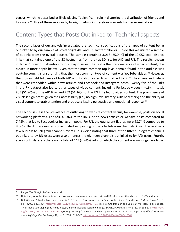census, which he described as likely playing "a significant role in distorting the distribution of friends and followers."81 Use of these services by far-right networks therefore warrants further examination.

## Content Types that Posts Outlinked to: Technical aspects

The second layer of our analysis investigated the technical specifications of the types of content being outlinked to by our sample of pro-far-right AfD and RN Twitter followers. To do this we utilized a sample of outlinks from the overall dataset. The sample contained 3,018 (25.04%) of the 12,052 total distinct links that contained one of the 58 hostnames from the top 30 lists for AfD and RN. The results, shown in Table 7, draw our attention to four major issues. The first is the predominance of video content, discussed in more depth below. Given that the most common top-level domain found in the outlinks was youtube.com, it is unsurprising that the most common type of content was YouTube videos.<sup>82</sup> However, the pro-far-right followers of both AfD and RN also posted links that led to BitChute videos and videos that were embedded within news articles and Facebook and Instagram posts. Twenty-five of the links in the RN dataset also led to other types of video content, including Periscope videos (n=16). In total, 805 (51.90%) of the AfD links and 752 (51.26%) of the RN links led to video content. The prominence of visuals is significant, given their accessibility (i.e., no high-level literacy skills necessary) and the ability of visual content to grab attention and produce a lasting persuasive and emotional response.<sup>83</sup>

The second issue is the prevalence of outlinking to website content versus, for example, posts on social networking platforms. For AfD, 48.36% of the links led to news articles or website posts compared to 7.48% that led to Facebook or Instagram posts. For RN, the equivalent figures were 48.74% compared to 8.86%. Third, there existed some limited signposting of users to Telegram channels. Given the relatively few outlinks to Telegram channels overall, it is worth noting that three of the fifteen Telegram channels outlinked to by RN users were also amongst the eighteen channels outlinked to by AfD users. Fourth, across both datasets there was a total of 149 (4.94%) links for which the content was no longer available.

<sup>81</sup> Berger, *The Alt-right Twitter Census,* 37.

<sup>82</sup> Note that, as well as the youtube.com hostname, there were some links that used URL shorteners that also led to YouTube videos.

<sup>83</sup> Dolf Zillmann, Silvia Knobloch, and Hong-sik Yu, "Effects of Photographs on the Selective Reading of News Reports," *Media Psychology* 3, no. 4 (2001): 301-324, [https://doi.org/10.1207/s1532785xmep0304\\_01](https://doi.org/10.1207/s1532785xmep0304_01); Nicole Smith Dahmen and Daniel D. Morrison, "Place, Space, Time: Media gatekeeping and iconic imagery in the digital and social media age," *Digital Journalism* 4, no. 5 (2016): 658-678, [https://doi.](https://doi.org/10.1080/21670811.2015.1081073) [org/10.1080/21670811.2015.1081073](https://doi.org/10.1080/21670811.2015.1081073); Georg Stenberg, "Conceptual and Perceptual Factors in the Picture Superiority Effect," *European Journal of Cognitive Psychology* 18, no. 6 (2006): 813-847,<https://doi.org/10.1080/09541440500412361>.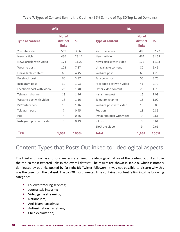**Table 7.** Types of Content Behind the Outlinks (25% Sample of Top 30 Top-Level Domains)

|                           | <b>AfD</b>                         |               | <b>RN</b>                 |                             |               |  |  |
|---------------------------|------------------------------------|---------------|---------------------------|-----------------------------|---------------|--|--|
| <b>Type of content</b>    | No. of<br>distinct<br><b>links</b> | $\frac{9}{6}$ | <b>Type of content</b>    | No. of<br>distinct<br>links | $\frac{9}{6}$ |  |  |
| YouTube video             | 569                                | 36.69         | YouTube video             | 480                         | 32.72         |  |  |
| News article              | 436                                | 28.11         | News article              | 464                         | 31.63         |  |  |
| News article with video   | 174                                | 11.22         | News article with video   | 175                         | 11.93         |  |  |
| Website postt             | 122                                | 7.87          | Unavailable content       | 80                          | 5.45          |  |  |
| Unavailable content       | 69                                 | 4.45          | Website post              | 63                          | 4.29          |  |  |
| Facebook post             | 60                                 | 3.87          | Facebook post             | 55                          | 3.75          |  |  |
| Instagram post            | 30                                 | 1.93          | Facebook post with video  | 41                          | 2.79          |  |  |
| Facebook post with video  | 23                                 | 1.48          | Other video content       | 25                          | 1.70          |  |  |
| Telegram channel          | 18                                 | 1.16          | Instagram post            | 16                          | 1.09          |  |  |
| Website post with video   | 18                                 | 1.16          | Telegram channel          | 15                          | 1.02          |  |  |
| <b>BitChute video</b>     | 18                                 | 1.16          | Website post with video   | 13                          | 0.89          |  |  |
| Telegram post             | 7                                  | 0.45          | Petition                  | 13                          | 0.89          |  |  |
| <b>PDF</b>                | 4                                  | 0.26          | Instagram post with video | 9                           | 0.61          |  |  |
| Instagram post with video | 3                                  | 0.19          | VK post                   | 9                           | 0.61          |  |  |
|                           |                                    |               | BitChute video            | 9                           | 0.61          |  |  |
| <b>Total</b>              | 1,551                              | 100%          | <b>Total</b>              | 1,467                       | 100%          |  |  |

## Content Types that Posts Outlinked to: Ideological aspects

The third and final layer of our analysis examined the ideological nature of the content outlinked to in the top 20 most tweeted links in the overall dataset. The results are shown in Table 8, which is notably dominated by outlinks posted by far-right RN Twitter followers; it was not possible to discern why this was the case from the dataset. The top 20 most tweeted links contained content falling into the following categories:

- **•** Follower tracking services;
- **•** Journalistic integrity;
- **•** Video game streaming;
- **•** Nationalism;
- **•** Anti-Islam narratives;
- **•** Anti-migration narratives;
- **•** Child exploitation;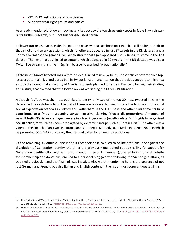- **•** COVID-19 restrictions and conspiracies;
- **•** Support for far-right groups and parties.

As already mentioned, follower tracking services occupy the top three entry spots in Table 8, which warrants further research, but is not further discussed herein.

Follower tracking services aside, the joint top posts were a Facebook post in Italian calling for journalism that is not afraid to ask questions, which nonetheless appeared in just 37 tweets in the RN dataset, and a link to a German video gamer's live Twitch stream that again appeared just 37 times, this time in the AfD dataset. The next most outlinked to content, which appeared in 32 tweets in the RN dataset, was also a Twitch live stream, this time in English, by a self-described "proud nationalist."

Of the next 14 most tweeted links, a total of six outlinked to news articles. These articles covered such topics as a potential hijab and burqa ban in Switzerland; an organization that provides support to migrants; a study that found that a majority of Algerian students planned to settle in France following their studies; and a study that claimed that the lockdown was worsening the COVID-19 situation.

Although YouTube was the most outlinked to entity, only two of the top 20 most tweeted links in the dataset led to YouTube videos. The first of these was a video claiming to state the truth about the child sexual exploitation scandals in Telford and Rotherham in the UK. These and other similar events have contributed to a "Muslim grooming gangs" narrative, claiming "that a 'dis-proportionate' number of Asian/Muslim/Pakistani-heritage men are involved in grooming (mostly) white British girls for organised sexual abuse,"<sup>84</sup> which has been propagated by extremist groups such as Britain First.<sup>85</sup> The other was a video of the speech of anti-vaccine propagandist Robert F. Kennedy, Jr. in Berlin in August 2020, in which he promoted COVID-19 conspiracy theories and called for an end to restrictions.

Of the remaining six outlinks, one led to a Facebook post, two led to online petitions (one against the dissolution of Generation Identity, the other the previously mentioned petition calling for support for Generation Identity following the imprisonment of three of its members), one led to RN's official website for membership and donations, one led to a personal blog (written following the Vienna gun attack, as outlined previously), and the final link was inactive. Also worth mentioning here is the presence of not just German and French, but also Italian and English content in the list of most popular tweeted links.

<sup>84</sup> Ella Cockbain and Waqas Tufail, "Failing Victims, Fuelling Hate: Challenging the Harms of the 'Muslim Grooming Gangs' Narrative," *Race & Class* 61, no. 3 (2020): 3-32, [https://doi.org/10.1177/0306396819895727.](https://doi.org/10.1177/0306396819895727)

<sup>85</sup> Lella Nouri and Nuria Lorenzo-Dus, "Investigating Reclaim Australia and Britain First's Use of Social Media: Developing a New Model of Imagined Political Communities Online," *Journal for Deradicalization* no.18 (Spring 2019): 1-37, [https://journals.sfu.ca/jd/index.php/jd/](https://journals.sfu.ca/jd/index.php/jd/article/view/183) [article/view/183](https://journals.sfu.ca/jd/index.php/jd/article/view/183).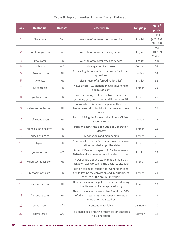## **Table 8.** Top 20 Tweeted Links in Overall Dataset

| <b>Rank</b>  | <b>Hostname</b>      | <b>Dataset</b> | <b>Description</b>                                                                                                                      | <b>Language</b> | No. of<br>posts                |
|--------------|----------------------|----------------|-----------------------------------------------------------------------------------------------------------------------------------------|-----------------|--------------------------------|
| $\mathbf{1}$ | fllwrs.com           | <b>Both</b>    | Website of follower tracking service                                                                                                    | English         | 1,111<br>(AfD: 937<br>RN: 174) |
| 2            | unfollowspy.com      | <b>Both</b>    | Website of follower tracking service                                                                                                    | English         | 266<br>(RN: 199<br>AfD: 67)    |
| 3            | unfollow.fr          | <b>RN</b>      | Website of follower tracking service                                                                                                    | English         | 250                            |
| 4            | twitch.tv            | AfD            | Video gamer live stream                                                                                                                 | German          | 37                             |
| 5            | m.facebook.com       | <b>RN</b>      | Post calling for journalism that isn't afraid to ask<br>questions                                                                       | Italian         | 37                             |
| 6            | twitch.tv            | <b>RN</b>      | Live stream of a "proud nationalist"                                                                                                    | English         | 32                             |
| 7            | swissinfo.ch         | <b>RN</b>      | News article: 'Switzerland moves toward hijab<br>and burga ban'                                                                         | French          | 32                             |
| 8            | youtube.com          | <b>RN</b>      | Video claiming to state the truth about the<br>grooming gangs of Telford and Rotherham, UK                                              | French          | 29                             |
| 9            | valeursactuelles.com | <b>RN</b>      | News article: 'A swimming pool in Nanterre<br>has reserved slots for Muslim women for three<br>years'                                   | French          | 28                             |
| 10           | m.facebook.com       | <b>RN</b>      | Post criticising the former Italian Prime Minister<br>Matteo Renzi                                                                      | Italian         | 27                             |
| 11           | france-petitions.com | <b>RN</b>      | Petition against the dissolution of Generation<br>Identity                                                                              | French          | 26                             |
| 12           | adhesions-rn.fr      | <b>RN</b>      | RN donations and membership                                                                                                             | French          | 25                             |
| 13           | lefigaro.fr          | <b>RN</b>      | News article: 'Utopia 56, the pro-migrants asso-<br>ciation that challenges the state'                                                  | French          | 25                             |
| 14           | youtube.com          | AfD            | Robert F Kennedy Jr speech in Berlin in August<br>2020 (has since been removed by the uploader)                                         | English         | 25                             |
| 15           | valeursactuelles.com | <b>RN</b>      | News article about a study that claimed that<br>lockdown was worsening the Covid-19 situation                                           | French          | 24                             |
| 16           | mesopinions.com      | <b>RN</b>      | Petition calling for support for Generation Iden-<br>tity, following the conviction and imprisonment<br>of three of the group's members | French          | 24                             |
| 17           | fdesouche.com        | <b>RN</b>      | News article about a police operation following<br>the discovery of a decapitated body                                                  | French          | 23                             |
| 18           | fdesouche.com        | <b>RN</b>      | News article about a study that found that 57%<br>of Algerian students in France plan to settle<br>there after their studies            | French          | 21                             |
| 19           | sumall.com           | AfD            | Content unavailable                                                                                                                     | Unknown         | 20                             |
| 20           | edtmeier.at          | AfD            | Personal blog attributing recent terrorist attacks<br>to Islamization                                                                   | German          | 16                             |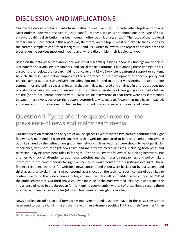# DISCUSSION AND IMPLICATIONS

Our overall dataset contained links from Twitter to well over 1,500 discrete other top-level domains. Most outlinks, however, resolved to just a handful of these, which is not anomalous; this type of power-law probability distribution has been found in other outlink analyses too.<sup>86</sup> The focus of the top-level domain analysis presented in this report was, therefore, on the top 30 most outlinked to such entities by the curated sample of confirmed far-right AfD and RN Twitter followers. The report addressed both the types of online services most outlinked to and, where discernible, their ideological type.

Based on the data presented above, and our initial research questions, a few key findings are of particular note for policymakers, researchers, and social media platforms. Chief among these findings, as discussed further below, the research did not uncover any REMVE or violent extremist support or content. As such, the discussion below emphasizes the importance of the development of effective policy and practice aimed at addressing REMVE, including, but not limited to, properly discerning the appropriate communities and online spaces of focus. In that vein, data gathered and analyzed in this report does not provide discernable evidence to suggest that the online ecosystems of far-right political party followers are (or are not) interconnected with REMVE online ecosystems or that there were any interactions between these two types of far-right actors. Appropriately, caveats to, factors that may have impacted, and avenues for future research to further test this finding are discussed in more detail below.

## **Question 1:** Types of online spaces linked to—the prevalence of news and mainstream media

Our first question focused on the types of online spaces linked to by the two parties' confirmed far-right followers. A main finding from this analysis is that websites appeared to be a core component among outlinks shared by the defined far-right online networks. News websites were shown to be of particular importance, with both far-right news sites and mainstream media websites, including both press and television, playing prominent roles in far-right AfD and RN Twitter followers' outlinking behaviors. Put another way, lack of attention to traditional websites and their roles by researchers and policymakers interested in the contemporary far-right online scene would constitute a significant oversight. These findings regarding key roles for websites, news content, and video were backed up by our second and third layers of analysis. In terms of our second layer's focus on the technical specifications of outlinked to content, we found that video, news articles, and news articles with embedded video comprised 76% of the outlinked content. Our third analytical layer, focusing on the most tweeted links, again underlined the importance of news in the European far-right online ecosystem(s), with six of these links directing those who clicked them to news articles (of which four were on far-right news sites).

News articles, including factual items from mainstream media sources, have, in the past, consistently been used to portray far-right users themselves in an extremely positive light and their "enemies" in an

<sup>86</sup> Conway et al., "A Snapshot of the Syrian Jihadi Online Ecology," 9.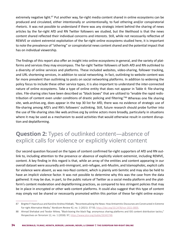extremely negative light.<sup>87</sup> Put another way, far-right media content shared in online ecosystems can be produced and circulated, either intentionally or unintentionally, to fuel othering and/or conspiratorial rhetoric. It was not possible to understand if there was any strategic intent behind the sharing of news articles by the far-right AfD and RN Twitter followers we studied, but the likelihood is that the news content shared reflected their individual concerns and interests. Still, while not necessarily reflective of REMVE or violent extremist exploitation of the far-right online ecosystems studied here, it is important to note the prevalence of "othering" or conspiratorial news content shared and the potential impact that has on individual viewership.

The findings of this report also offer an insight into online ecosystems in general, and the variety of platforms and services they may encompass. The far-right Twitter followers of both AfD and RN outlinked to a diversity of online services and platforms. These included websites, video-sharing, follower tracking, and URL shortening services, in addition to social networking. In fact, outlinking to website content was far more prevalent than outlinking to posts on social networking platforms. In addition to widening the policy focus to include these other service types, it is also important to understand the inter-connected nature of online ecosystems. Take a type of online entity that does not appear in Table 4: file-sharing sites. File-sharing sites have been described as "black boxes" that are utilized to "enable the rapid redistribution of content even under conditions of drastic policing and filtering."<sup>88</sup> Whereas one file sharing site, web.archive.org, does appear in the top 30 list for AfD, there was no evidence of strategic use of file-sharing among AfD's and RN's followers' outlinking. Still, future research should probe further into the use of file-sharing sites like web.archive.org by online actors more broadly, particularly in situations where it may be used as a mechanism to avoid activities that would otherwise result in content disruption and deplatforming.

## **Question 2:** Types of outlinked content—absence of explicit calls for violence or explicitly violent content

Our second question focused on the types of content confirmed far-right supporters of AfD and RN outlink to, including attention to the presence or absence of explicitly violent extremist, including REMVE, content. A key finding in this regard is that, while an array of the entities and content appearing in our overall dataset were assuredly anti-immigrant, anti-refugee, anti-Muslim, and Islamophobic, explicit calls for violence were absent, as was neo-Nazi content, which is plainly anti-Semitic and may also be held to have an implicit violence factor. It was not possible to determine why this was the case from the data gathered. It may be due, in part, to the public nature of Twitter as a social media platform and the platform's content moderation and deplatforming practices, as compared to less stringent policies that may be in place in encrypted or other web content platforms. It could also suggest that this type of content may simply not be shared or necessarily promoted within this portion of these far-right online ecosys-

<sup>87</sup> Birgitte P. Haanshuus and Karoline Andrea Ihlebæk, "Recontextualising the News: How Antisemitic Discourses are Constructed in Extreme Far-right Alternative Media," *Nordicom Review* 42, no. 1 (2021): 37-50, <https://doi.org/10.2478/nor-2021-0005>.

<sup>88</sup> Ahmad Shehabat and Teodor Mitew, "Black-boxing the black flag: anonymous sharing platforms and ISIS content distribution tactics," *Perspectives on Terrorism* 12, no. 1 (2018): 97,<https://www.jstor.org/stable/26343748>.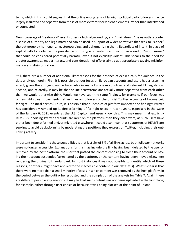tems, which in turn could suggest that the online ecosystems of far-right political party followers may be largely insulated and separate from those of more extremist or violent elements, rather than intertwined or connected.

News coverage of "real-world" events offers a factual grounding, and "mainstream" news outlets confer a sense of authority and legitimacy and can be used in support of wider narratives that seek to "Other" the out-group by homogenizing, stereotyping, and dehumanizing them. Regardless of intent, in place of explicit calls for violence, the prevalence of this type of content can function as a kind of "mood music" that could be considered potentially harmful, even if not explicitly violent. This speaks to the need for greater awareness, media literacy, and consideration of efforts aimed at appropriately tagging misinformation and disinformation.

Still, there are a number of additional likely reasons for the absence of explicit calls for violence in the data analyzed herein. First, it is possible that our focus on European accounts and users had a lessening effect, given the stringent online hate rules in many European countries and relevant EU legislation. Second, and relatedly, it may be that online ecosystems are actually more separated from each other than we would otherwise think. Would we have seen the same findings, for example, if our focus was on far-right street movements, rather than on followers of the official Twitter accounts of two—albeit far-right—political parties? Third, it is possible that our choice of platform impacted the findings: Twitter has considerably ramped-up its deplatforming of far-right users in recent years, especially in the wake of the January 6, 2021 events at the U.S. Capitol, and users know this. This may mean that explicitly REMVE-supporting Twitter accounts are rarer on the platform than they once were, as such users have either been deplatformed and/or migrated elsewhere. It could also mean that supporters of REMVE are seeking to avoid deplatforming by moderating the positions they express on Twitter, including their outlinking activity.

Important to considering these possibilities is that just shy of 5% of all links across both follower networks were no longer accessible. Explanations for this may include the link having been deleted by the user or removed by the host platform, the user that posted the content choosing to close their account or having their account suspended/terminated by the platform, or the content having been moved elsewhere rendering the original URL redundant. In most instances it was not possible to identify which of these reasons, or others, might have applied to the inaccessible content in our dataset(s). What is clear is that there were no more than a small minority of cases in which content was removed by the host platform in the period between the outlink being posted and the completion of the analysis for Table 7. Again, there are different possible explanations: it may be that such content was not being uploaded in the first place, for example, either through user choice or because it was being blocked at the point of upload.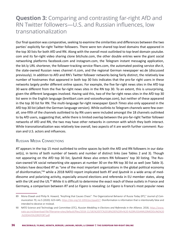## **Question 3:** Comparing and contrasting far-right AfD and RN Twitter followers—U.S. and Russian influences, low transnationalization

Our final question was comparative, seeking to examine the similarities and differences between the two parties' explicitly far-right Twitter followers. There were ten shared top-level domains that appeared in the top 30 lists for both AfD and RN. Along with the overall most outlinked to top-level domain youtube. com and its far-right video sharing clone bitchute.com, the other double entries were the giant social networking platforms facebook.com and instagram.com, the Telegram instant messaging application, the bit.ly URL shortener, the follower-tracking service fllwrs.com, the automated posting service dlvr.it, the state-owned Russian news channel rt.com, and the regional German newspaper wz.de (discussed previously). In addition to AfD and RN's Twitter follower networks being fairly distinct, the relatively low number of hostnames that appeared in both top 30 lists indicates that the pro-far right users in these networks largely prefer different online spaces. For example, the five far-right news sites in the AfD top 30 were different from the five far-right news sites in the RN top 30. To an extent, this is unsurprising, given the different languages involved. Having said this, two of the far-right news sites in the AfD top 30 list were in the English language (breitbart.com and voiceofeurope.com), but neither of these appeared in the top 30 list for RN. The multi-language far-right newspaper *Epoch Times* also only appeared in the AfD top 30 list (albeit the German-language version). While outlinks to Telegram channels were few overall, one-fifth of the channels outlinked to by RN users were included amongst the 18 channels outlinked to by AfD users, suggesting that, while there is limited overlap between the pro-far-right Twitter follower networks of AfD and RN, the two may have other networks in common with which they both interact. While transnationalization was relatively low overall, two aspects of it are worth further comment: Russian and U.S. actors and influences.

#### Russian Media Connections

*RT* appears in the top 15 most outlinked to online spaces by both the AfD and RN followers in our dataset(s), in terms of both number of tweets and number of distinct links (see Tables 2 and 3). Though not appearing on the AfD top 30 list, *Sputnik News* also enters RN followers' top 30 listing. The Russian-owned VK social networking site appears at number 30 on the RN top 30 list as well (see Table 3). Scholars have described *RT* as "one of the most important organizations in the global political economy of disinformation,"89 while a 2018 NATO report implicated both *RT* and *Sputnik* in a wide array of meddlesome and polarizing activity, especially around elections and referenda in EU member states, along with the UK and the US.<sup>90</sup> While it is difficult to determine the exact reach of these outlets in France and Germany, a comparison between *RT* and *Le Figaro* is revealing: *Le Figaro* is France's most popular news

<sup>89</sup> Mona Elswah and Philip N. Howard, "Anything that Causes Chaos": The Organizational Behavior of Russia Today (RT)," *Journal of Communication* 70, no.5 (2020): 623–645,<https://doi.org/10.1093/joc/jqaa027>. Disinformation is information that is intentionally false and intended to deceive or mislead.

<sup>90</sup> NATO Science and Technology and Committee (STC), *Russian Meddling in Elections and Referenda in the Alliance,* 2018, [https://www.](https://www.nato-pa.int/download-file?filename=sites/default/files/2018-11/181%20STC%2018%20E%20fin%20-%20RUSSIAN%20MEDDLING%20-%20DAVIS%20REPORT.pdf) [nato-pa.int/download-file?filename=sites/default/files/2018-11/181%20STC%2018%20E%20fin%20-%20RUSSIAN%20MEDDLING%20](https://www.nato-pa.int/download-file?filename=sites/default/files/2018-11/181%20STC%2018%20E%20fin%20-%20RUSSIAN%20MEDDLING%20-%20DAVIS%20REPORT.pdf) [-%20DAVIS%20REPORT.pdf](https://www.nato-pa.int/download-file?filename=sites/default/files/2018-11/181%20STC%2018%20E%20fin%20-%20RUSSIAN%20MEDDLING%20-%20DAVIS%20REPORT.pdf).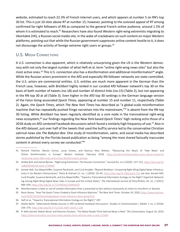website, estimated to reach 22.3% of French internet users, and which appears at number 5 on RN's top 30 list. This is just 10 slots above *RT* at number 15, however, pointing to the outsized appeal of *RT* among confirmed far-right followers of RN as compared to the general French online audience, around 1.5% of whom it is estimated to reach.<sup>91</sup> Researchers have also found Western right-wing extremists migrating to Vkontakte (VK), a Russian social media site, in the wake of crackdowns on such content on major Western platforms, pointing out that while the Russian government suppresses online content hostile to it, it does not discourage the activity of foreign extreme right users or groups.  $92$ 

### U.S. Media Connections

A U.S. connection is also apparent, which is relatively unsurprising given the US is the Western democracy with not only the largest number of what Heft et al. term "online right-wing news sites" but also the most active ones.<sup>93</sup> This U.S. connection also has a disinformation and additional misinformation<sup>94</sup> angle. While the Russian actors prominent in the AfD and especially RN follower networks are state-controlled, the U.S. actors are commercial entities. U.S. entities are much more apparent in the German than the French case, however, with *Breitbart* highly ranked in our curated AfD follower network's top 30 on the basis of both number of tweets (no.18) and number of distinct links (no.15) (Table 2), but not appearing in the RN top 30 at all (Table 3). Even higher in the AfD top 30 rankings is the German language version of the Falun Gong-associated *Epoch Times*, appearing at number 15 and number 11, respectively (Table 2). Again, the *Epoch Times*, which *The New York Times* has described as "a global-scale misinformation machine that has repeatedly pushed fringe narratives into the mainstream,"<sup>95</sup> is absent from the RN top 30 listing. While *Breitbart* has been regularly identified as a core node in the transnational right-wing news ecosystem,96 our findings regarding the New York-based *Epoch Times*' high ranking echo those of a 2018 study on AfD-centered Facebook discussions which found a similarly high frequency of use.<sup>97</sup> Also in the AfD dataset, just over half of the tweets that used the buff.ly service led to the conservative Christian satirical news site *The Babylon Bee*. One study of misinformation, satire, and social media has described stories published by the Florida-based publication as being "among the most shared factually inaccurate content in almost every survey we conducted."98

<sup>91</sup> Richard Fletcher, Alessio Cornia, Lucas Graves, and Rasmus Kleis Nielsen, "Measuring the Reach of 'Fake News' and Online Disinformation in Europe," *Reuters Institute,* February 2018, [https://reutersinstitute.politics.ox.ac.uk/our-research/](https://reutersinstitute.politics.ox.ac.uk/our-research/measuring-reach-fake-news-and-online-disinformation-europe) [measuring-reach-fake-news-and-online-disinformation-europe](https://reutersinstitute.politics.ox.ac.uk/our-research/measuring-reach-fake-news-and-online-disinformation-europe).

<sup>92</sup> Shelby Butt and Daniel Byman, "Right-wing Extremism: The Russian Connection," *Survival* 62, no.2 (2020): 137–152, [https://doi.org/10.](https://doi.org/10.1080/00396338.2020.1739960) [1080/00396338.2020.1739960.](https://doi.org/10.1080/00396338.2020.1739960)

<sup>93</sup> Annett Heft, Eva Mayerhöffer, Susanne Reinhardt, and Curd Knüpfer, "Beyond Breitbart: Comparing Right-Wing Digital News Infrastructures in Six Western Democracies," *Policy & Internet* 12, no. 1 (2020): 20–45, [https://doi.org/10.1002/poi3.219;](https://doi.org/10.1002/poi3.219) see also: Annett Heft, Curd Knüpfer, Susanne Reinhardt, and Eva Mayerhöffer, "Toward a Transnational Information Ecology on the Right? Hyperlink Networking among Right-Wing Digital News Sites in Europe and the United States," *The International Journal of Press/Politics* 26, no. 2 (2021): 484–504,<https://doi.org/10.1177/1940161220963670>.

<sup>94</sup> Misinformation is false or out-of-context information that is presented as fact without necessarily an intent to misinform or deceive.

<sup>95</sup> Kevin Roose, "How The Epoch Times Created a Giant Influence Machine," *The New York Times,* October 24, 2020, [https://www.nytimes.](https://www.nytimes.com/2020/10/24/technology/epoch-times-influence-falun-gong.html) [com/2020/10/24/technology/epoch-times-influence-falun-gong.html.](https://www.nytimes.com/2020/10/24/technology/epoch-times-influence-falun-gong.html)

<sup>96</sup> Heft et al, "Toward a Transnational Information Ecology on the Right?," 497.

<sup>97</sup> Marko Bachl, "(Alternative) Media Sources in AfD-centered Facebook Discussions," *Studies in Communication | Media* 7, no. 2 (2018): 256–270,<https://doi.org/10.5771/2192-4007-2018-2-128>.

<sup>98</sup> R. Kelly Garrett, Robert Bond, and Shannon Poulsen, "Too Many People Think Satirical News is Real," *The Conversation,* August 16, 2019, <https://theconversation.com/too-many-people-think-satirical-news-is-real-121666>.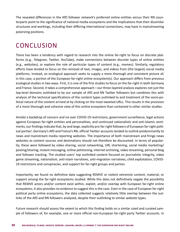The revealed differences in the AfD follower network's preferred online entities versus their RN counterparts point to the significance of national media ecosystems and the implications that their dissimilar structures and workings, including their differing international connections, may have in mainstreaming polarizing positions.

# CONCLUSION

There has been a tendency with regard to research into the online far-right to focus on discrete platforms (e.g., Telegram, Twitter, YouTube), make connections between discrete types of online entities (e.g., websites), or explore the role of particular types of content (e.g., memes). Similarly, regulatory efforts have tended to focus on the removal of text, images, and videos from (the largest) social media platforms. Instead, an ecological approach seeks to supply a more thorough and consistent picture of, in this case, a portion of the European far-right online ecosystem(s). Our approach differs from previous ecological studies in two ways. First, it is one of the first studies to focus on the far-right in both Germany and France. Second, it takes a comprehensive approach—our three-layered analysis explores not just the top-level domains outlinked to by our sample of AfD and RN Twitter followers but combines this with analysis of the technical specifications of the content types outlinked to and treatment of the socio-political nature of the content arrived at by clicking on the most tweeted URLs. This results in the provision of a more thorough and cohesive view of this online ecosystem than contained in other similar studies.

Amidst a backdrop of concern and ire over COVID-19 restrictions, government surveillance, legal actions against European far-right entities and personalities, and continued nationalistic and anti-Islamic sentiments, our findings indicate that, by and large, explicitly pro-far-right followers of European far-right political parties', Germany's AfD and France's RN, official Twitter accounts tended to outlink predominantly to news and mainstream media reporting websites. The importance of both mainstream and fringe news websites as content sources and destinations should not therefore be discounted. In terms of popularity, these were followed by video sharing, social networking, URL shortening, social media marketing/ posting/sharing, instant messaging, online petitioning, internet archiving, video streaming, personal blog and follower tracking. The studied users' top outlinked content focused on journalistic integrity, video game streaming, nationalism, anti-Islam narratives, anti-migration narratives, child exploitation, COVID-19 restrictions and conspiracies, and support for far-right groups and parties.

Importantly, we found no definitive data suggesting REMVE or violent extremist content, material, or support among the far-right ecosystems studied. While this does not definitively negate the possibility that REMVE actors and/or content exist within, exploit, and/or overlap with European far-right online ecosystems, it also provides no evidence to suggest this is the case. Even in the case of European far-right political party online ecosystems, the data collected suggests relatively little overlap between the outlinks of the AfD and RN followers analyzed, despite their outlinking to similar website types.

Future research should assess the extent to which this finding holds on a similar sized and curated sample of followers of, for example, one or more official non-European far-right party Twitter accounts. In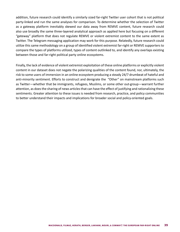addition, future research could identify a similarly sized far-right Twitter user cohort that is not political party-linked and run the same analyses for comparison. To determine whether the selection of Twitter as a gateway platform inevitably skewed our data away from REMVE content, future research could also use broadly the same three-layered analytical approach as applied here but focusing on a different "gateway" platform that does not regulate REMVE or violent extremist content to the same extent as Twitter. The Telegram messaging application may work for this purpose. Relatedly, future research could utilize this same methodology on a group of identified violent extremist far-right or REMVE supporters to compare the types of platforms utilized, types of content outlinked to, and identify any overlaps existing between those and far-right political party online ecosystems.

Finally, the lack of evidence of violent extremist exploitation of these online platforms or explicitly violent content in our dataset does not negate the polarizing qualities of the content found, nor, ultimately, the risk to some users of immersion in an online ecosystem producing a steady 24/7 drumbeat of hateful and anti-minority sentiment. Efforts to construct and denigrate the "Other" on mainstream platforms such as Twitter—whether that be immigrants, refugees, Muslims, or some other out-group—warrant further attention, as does the sharing of news articles that can have the effect of justifying and rationalizing these sentiments. Greater attention to these issues is needed from research, practice, and policy communities to better understand their impacts and implications for broader social and policy-oriented goals.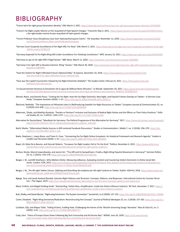# BIBLIOGRAPHY

"France bans far-right group Generation Identity." *DW,* March 3, 2021. <https://www.dw.com/en/france-bans-far-right-group-generation-identity/a-56760300>.

- "France's Far-Right Leader Marine Le Pen Acquitted of Hate Speech Charges." *France24,* May 4, 2021. [https://www.france24.com/en/europe/20210504-france](https://www.france24.com/en/europe/20210504-france-)s-far-right-leader-marine-le-pen-acquitted-of-hate-speech-charges.
- "French Professor Faces Disciplinary Case Over Hydroxychloroquine Claims." *The Guardian,* November 12, 2020. [https://www.theguardian.com/world/2020/](https://www.theguardian.com/world/2020/nov/12/covid-professor-didier-raoult-hydroxychloroquine) [nov/12/covid-professor-didier-raoult-hydroxychloroquine](https://www.theguardian.com/world/2020/nov/12/covid-professor-didier-raoult-hydroxychloroquine).
- "German Court Suspends Surveillance of Far-Right AfD, For Now." *DW,* March 5, 2021. [https://www.dw.com/en/german-court-suspends-surveillance-of-far-right](https://www.dw.com/en/german-court-suspends-surveillance-of-far-right-afd-for-now/a-56785125) [-afd-for-now/a-56785125](https://www.dw.com/en/german-court-suspends-surveillance-of-far-right-afd-for-now/a-56785125).

"Germany Expected To Put Right-Wing AfD Under Surveillance For Violating Constitution." *NPR,* January 22, 2021. <https://www.npr.org/transcripts/959264440>.

"Germany to spy on far-right AfD's Flügel faction." *BBC News,* March 12, 2020. <https://www.bbc.com/news/world-europe-51850840>.

- "Germany's Far-right AfD to Dissolve Extreme 'Wing' Faction." *DW,* March 20, 2020. [https://www.dw.com/en/germanys-far-right-afd-to-dissolve-extreme-wing](https://www.dw.com/en/germanys-far-right-afd-to-dissolve-extreme-wing-faction/a-52864683)[faction/a-52864683](https://www.dw.com/en/germanys-far-right-afd-to-dissolve-extreme-wing-faction/a-52864683).
- "How the Violent Far-Right Infiltrated France's National Rally." *Al Jazeera,* December 10, 2018. [https://www.aljazeera.com/news/2018/12/10/](https://www.aljazeera.com/news/2018/12/10/how-the-violent-far-right-infiltrated-frances-national-rally) [how-the-violent-far-right-infiltrated-frances-national-rally](https://www.aljazeera.com/news/2018/12/10/how-the-violent-far-right-infiltrated-frances-national-rally).
- "How was the Capitol Insurrection Viewed by Far-Right Extremists Globally?" *The Soufan Center,* February 8, 2021. [https://thesoufancenter.org/](https://thesoufancenter.org/intelbrief-2021-february-8/) [intelbrief-2021-february-8/](https://thesoufancenter.org/intelbrief-2021-february-8/).
- "Le Gouvernement Annonce la Dissolution de la Ligue de Défense Noire Africaine." *Le Monde,* September 29, 2021. [https://www.lemonde.fr/politique/arti](https://www.lemonde.fr/politique/article/2021/09/29/le-gouvernement-annonce-la-dissolution-de-la-ligue-de-defense-noire-africaine_6096474_823448.html)[cle/2021/09/29/le-gouvernement-annonce-la-dissolution-de-la-ligue-de-defense-noire-africaine\\_6096474\\_823448.html](https://www.lemonde.fr/politique/article/2021/09/29/le-gouvernement-annonce-la-dissolution-de-la-ligue-de-defense-noire-africaine_6096474_823448.html).
- Ahmed, Reem, and Daniela Pisoiu. "Uniting the Far Right: How the Far-Right Extremist, New Right, and Populist Frames Overlap on Twitter—A German Case Study." *European Societies* (2020): 1–23. <https://doi.org/10.1080/14616696.2020.1818112>.
- Åkerlund, Mathilda. "The Importance of Influential Users in (Re)Producing Swedish Far-Right Discourse on Twitter." *European Journal of Communication* 35, no. 6 (2020): 613–628. <https://doi.org/10.1177/0267323120940909>.
- Akkerman, Tjitske, and Matthijs Rooduijn. "Pariahs or Partners? Inclusion and Exclusion of Radical Right Parties and the Effects on Their Policy Positions." *Political Studies* 63, no. 5 (2015): 1140–1157. <https://doi.org/10.1111/1467-9248.12146>.
- Alternative für Deutschland. "Manifesto for Germany: The Political Programme of the Alternative for Germany." 2017. [https://www.afd.de/wp-content/uploads/](https://www.afd.de/wp-content/uploads/sites/111/2017/04/2017-04-12_afd-grundsatzprogramm-englisch_web.pdf) [sites/111/2017/04/2017-04-12\\_afd-grundsatzprogramm-englisch\\_web.pdf](https://www.afd.de/wp-content/uploads/sites/111/2017/04/2017-04-12_afd-grundsatzprogramm-englisch_web.pdf)
- Bachl, Marko. "(Alternative) Media Sources in AfD-centered Facebook Discussions." *Studies in Communication | Media* 7, no. 2 (2018): 256–270. [https://doi.](https://doi.org/10.5771/2192-4007-2018-2-128) [org/10.5771/2192-4007-2018-2-128](https://doi.org/10.5771/2192-4007-2018-2-128).
- Baele, Stephane J., Lewys Brace, and Travis G. Coan. "Uncovering the Far-Right Online Ecosystem: An Analytical Framework and Research Agenda." *Studies in Conflict and Terrorism* (2020): 1–21. <https://doi.org/10.1080/1057610x.2020.1862895>.
- Bayer, Lili, Maïa De la Baume, and Hannah Roberts. "European Far-Right Leaders Fail to Tie the Knot." Politico, December 4, 2021. [https://www.politico.eu/](https://www.politico.eu/article/viktor-orban-marine-le-pen-jaroslaw-kaczynski-europe-far-right-parties-coalition/) [article/viktor-orban-marine-le-pen-jaroslaw-kaczynski-europe-far-right-parties-coalition/](https://www.politico.eu/article/viktor-orban-marine-le-pen-jaroslaw-kaczynski-europe-far-right-parties-coalition/).
- Berbuir, Nicole, Marcel Lewandowsky, and Jasmin Siri. "The AfD and Its Sympathisers: Finally a Right-Wing Populist Movement in Germany?" *German Politics*  24, no. 2 (2015): 154–178. <https://doi.org/10.1080/09644008.2014.982546>.
- Berger, J. M., and Bill Strathearn. *Who Matters Online: Measuring Influence, Evaluating Content and Countering Violent Extremism in Online Social Networks.* London: ICSR, 2013. [https://icsr.info/wp-content/uploads/2013/03/ICSR-Report-Who-Matters-Online-Measuring-influence-Evaluating-Con](https://icsr.info/wp-content/uploads/2013/03/ICSR-Report-Who-Matters-Online-Measuring-influence-Evaluating-Content-and-Countering-Violent-Extremism-in-Online-Social-Networks.pdf)[tent-and-Countering-Violent-Extremism-in-Online-Social-Networks.pdf](https://icsr.info/wp-content/uploads/2013/03/ICSR-Report-Who-Matters-Online-Measuring-influence-Evaluating-Content-and-Countering-Violent-Extremism-in-Online-Social-Networks.pdf).
- Berger, J. M., The Alt-right Twitter Census: Defining and Describing the Audience for Alt-right Content on Twitter. Dublin: VOX-Pol, 2018. [https://www.voxpol.eu/](https://www.voxpol.eu/download/vox-pol_publication/AltRightTwitterCensus.pdf) [download/vox-pol\\_publication/AltRightTwitterCensus.pdf](https://www.voxpol.eu/download/vox-pol_publication/AltRightTwitterCensus.pdf).
- Bjørgo, Tore, and Jacob Aasland Ravndal. *Extreme-Right Violence and Terrorism: Concepts, Patterns, and Responses.* International Centre for Counter-Terrorism—The Hague, 2019. <https://icct.nl/publication/extreme-right-violence-and-terrorism-concepts-patterns-and-responses/>.
- Black, Crofton, and Abigail Fielding-Smith. "Astroturfing, Twitter Bots, Amplification: Inside the Online Influence Industry." *NS Tech,* December 7, 2017. [https://](https://tech.newstatesman.com/feature/astroturfing-twitter-bots-amplification-inside-online-influence-industry) [tech.newstatesman.com/feature/astroturfing-twitter-bots-amplification-inside-online-influence-industry](https://tech.newstatesman.com/feature/astroturfing-twitter-bots-amplification-inside-online-influence-industry).

Butt, Shelby, and Daniel Byman. "Right-wing Extremism: The Russian Connection." *Surviva*l 62, no.2 (2020): 137–152. <https://doi.org/10.1080/00396338.2020.1739960>.

- Carter, Elisabeth. "Right-Wing Extremism/Radicalism: Reconstructing the Concept." *Journal of Political Ideologies* 23, no. 2 (2018): 157-182. [https://doi.org/10.1](https://doi.org/10.1080/13569317.2018.1451227) [080/13569317.2018.1451227](https://doi.org/10.1080/13569317.2018.1451227).
- Cockbain, Ella, and Waqas Tufail. "Failing Victims, Fuelling Hate: Challenging the Harms of the 'Muslim Grooming Gangs' Narrative." *Race & Class* 61, no. 3 (2020): 3-32. <https://doi.org/10.1177/0306396819895727>.
- Cody, John. "Voice of Europe Closes Down Following Big Tech Censorship and Ad Service Ban." REMIX, June 26, 2020. [https://rmx.news/article/](https://rmx.news/article/voice-of-europe-closes-down-following-big-tech-censorship-and-ad-service-ban/) [voice-of-europe-closes-down-following-big-tech-censorship-and-ad-service-ban/](https://rmx.news/article/voice-of-europe-closes-down-following-big-tech-censorship-and-ad-service-ban/).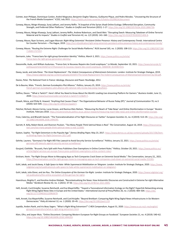- Cointet, Jean-Philippe, Dominique Cardon, Andreï Mogoutov, Benjamin Ooghe-Tabanou, Guillaume Plique, and Pedro Morales. "Uncovering the Structure of the French Media Ecosystem." *IC2S2*, July 2021. <https://halshs.archives-ouvertes.fr/halshs-03299024/document>.
- Conway, Maura, Moign Khawaja, Suraj Lakhani, and Jeremy Reffin. "A Snapshot of the Syrian Jihadi Online Ecology: Differential Disruption, Community Strength, and Preferred Other Platforms." *Studies in Conflict and Terrorism* (2021): 1-17. <https://doi.org/10.1080/1057610x.2020.1866736>.
- Conway, Maura, Moign Khawaja, Suraj Lakhani, Jeremy Reffin, Andrew Robertson, and David Weir. "Disrupting Daesh: Measuring Takedown of Online Terrorist Material and Its Impacts." *Studies in Conflict and Terrorism* 42, no. 1/2 (2019): 141–160. <https://doi.org/10.4324/9781003015406-8>.
- Conway, Maura, Ryan Scrivens, and Logan Macnair. *Right-Wing Extremists' Persistent Online Presence: History and Contemporary Trends.* International Centre for Counter-Terrorism -The Hague, 2019. https://icct.nl/publication/right-wing-extremists-persistent-online-presence-history-and-contemporary-trends,
- Conway, Maura. "Routing the Extreme Right: Challenges for Social Media Platforms." *RUSI Journal* 165, no. 1 (2020): 108-113. [https://doi.org/10.1080/0307184](https://doi.org/10.1080/03071847.2020.1727157) [7.2020.1727157](https://doi.org/10.1080/03071847.2020.1727157).
- Darmanin, Jules. "France bans far-right group Generation Identity." *Politico,* March 3, 2021. [https://www.politico.eu/article/](https://www.politico.eu/article/france-bans-far-right-group-generation-identity/) [france-bans-far-right-group-generation-identity/](https://www.politico.eu/article/france-bans-far-right-group-generation-identity/).
- Dassonville, Aude, and William Audureau. "France-Soir, le Nouveau Repaire des Covid-sceptiques." *Le Monde,* September 10, 2021. [https://www.lemonde.fr/](https://www.lemonde.fr/politique/article/2020/11/17/francesoir-le-nouveau-repaire-des-covid-sceptiques_6060038_823448.html) [politique/article/2020/11/17/francesoir-le-nouveau-repaire-des-covid-sceptiques\\_6060038\\_823448.html](https://www.lemonde.fr/politique/article/2020/11/17/francesoir-le-nouveau-repaire-des-covid-sceptiques_6060038_823448.html).
- Davey, Jacob, and Julia Ebner. 'The Great Replacement': The Violent Consequences of Mainstream Extremism. London: Institute for Strategic Dialogue, 2019. <https://www.isdglobal.org/wp-content/uploads/2019/07/The-Great-Replacement-The-Violent-Consequences-of-Mainstreamed-Extremism-by-ISD.pdf>.
- Davies, Peter. *The National Front in France: Ideology, Discourse and Power.* Routledge, 2012.
- De la Baume, Maïa. "French, German Euroskeptics Plot Alliance." *Politico,* January 25, 2019. [https://www.politico.eu/article/](https://www.politico.eu/article/french-german-euroskeptics-plot-alliance-afd-national-rally-nicolas-bay-joerg-meuthen/) [french-german-euroskeptics-plot-alliance-afd-national-rally-nicolas-bay-joerg-meuthen/](https://www.politico.eu/article/french-german-euroskeptics-plot-alliance-afd-national-rally-nicolas-bay-joerg-meuthen/).
- Delfino, Devon. "'What is Twitch?': Here's What You Need to Know About the World's Leading Live-streaming Platform for Gamers." *Business Insider*, June 11, 2020. <https://www.businessinsider.com/what-is-twitch?r=US&IR=T>.
- Elswah, Mona, and Philip N. Howard. "Anything that Causes Chaos": The Organizational Behavior of Russia Today (RT)." *Journal of Communication* 70, no.5 (2020): 623–645. <https://doi.org/10.1093/joc/jqaa027>.
- Fletcher, Richard, Alessio Cornia, Lucas Graves, and Rasmus Kleis Nielsen. "Measuring the Reach of 'Fake News' and Online Disinformation in Europe." *Reuters Institute,* February 2018. <https://reutersinstitute.politics.ox.ac.uk/our-research/measuring-reach-fake-news-and-online-disinformation-europe>.
- Froio, Caterina, and Bharath Ganesh. "The Transnationalisation of Far Right Discourse on Twitter." *European Societies* 21, no. 4 (2019): 513–39. [https://doi.org/](https://doi.org/10.1080/14616696.2018.1494295) [10.1080/14616696.2018.1494295](https://doi.org/10.1080/14616696.2018.1494295).
- Garrett, R. Kelly, Robert Bond, and Shannon Poulsen. "Too Many People Think Satirical News is Real." *The Conversation*, August 16, 2019. [https://theconversa](https://theconversation.com/too-many-people-think-satirical-news-is-real-121666)[tion.com/too-many-people-think-satirical-news-is-real-121666](https://theconversation.com/too-many-people-think-satirical-news-is-real-121666).
- Gaston, Sophie. "Far-Right Extremism in the Populist Age." *Demos Briefing Paper,* May 23, 2017. [https://www.demos.co.uk/wp-content/uploads/2017/06/Dem](https://www.demos.co.uk/wp-content/uploads/2017/06/Demos-Briefing-Paper-Far-Right-Extremism-2017.pdf)[os-Briefing-Paper-Far-Right-Extremism-2017.pdf](https://www.demos.co.uk/wp-content/uploads/2017/06/Demos-Briefing-Paper-Far-Right-Extremism-2017.pdf).
- Gehrke, Laurenz. "Germany's Far-Right AfD Files Lawsuit to Avoid Security Service Surveillance." *Politico,* January 22, 2021. [https://www.politico.eu/article/](https://www.politico.eu/article/germany-afd-lawsuits-against-security-service-surveillance/) [germany-afd-lawsuits-against-security-service-surveillance/](https://www.politico.eu/article/germany-afd-lawsuits-against-security-service-surveillance/).
- Goujard, Clothilde. "Brussels, Paris Split with Press Publishers Over Exemptions in Online Content Rules." *Politico,* October 20, 2021. [https://www.politico.eu/](https://www.politico.eu/article/digital-services-act-europe-france-press-publishers-exemptions-online-content-rules/) [article/digital-services-act-europe-france-press-publishers-exemptions-online-content-rules/](https://www.politico.eu/article/digital-services-act-europe-france-press-publishers-exemptions-online-content-rules/).
- Grisham, Kevin. "Far-Right Groups Move to Messaging Apps as Tech Companies Crack Down on Extremist Social Media." *The Conversation,* January 22,, 2021. <https://theconversation.com/far-right-groups-move-to-messaging-apps-as-tech-companies-crack-down-on-extremist-social-media-153181>.
- Guhl, Jakob, and Jacob Davey. A Safe Space to Hate: White Supremacist Mobilisation on Telegram. London: Institute for Strategic Dialogue, 2020. [https://www.](https://www.isdglobal.org/isd-publications/a-safe-space-to-hate-white-supremacist-mobilisation-on-telegram/) [isdglobal.org/isd-publications/a-safe-space-to-hate-white-supremacist-mobilisation-on-telegram/](https://www.isdglobal.org/isd-publications/a-safe-space-to-hate-white-supremacist-mobilisation-on-telegram/).
- Guhl, Jakob, Julia Ebner, and Jan Rau. The Online Ecosystem of the German Far-Right. London: Institute for Strategic Dialogue, 2020. [https://www.isdglobal.org/](https://www.isdglobal.org/isd-publications/the-online-ecosystem-of-the-german-far-right/) [isd-publications/the-online-ecosystem-of-the-german-far-right/](https://www.isdglobal.org/isd-publications/the-online-ecosystem-of-the-german-far-right/).
- Haanshuus, Birgitte P., and Karoline Andrea Ihlebæk. "Recontextualising the News: How Antisemitic Discourses are Constructed in Extreme Far-right Alternative Media." *Nordicom Review* 42, no. 1 (2021): 37-50. <https://doi.org/10.2478/nor-2021-0005>.
- Heft, Annett, Curd Knüpfer, Susanne Reinhardt, and Eva Mayerhöffer. "Toward a Transnational Information Ecology on the Right? Hyperlink Networking among Right-Wing Digital News Sites in Europe and the United States." *International Journal of Press/Politics* 26, no. 2 (2020): 484–504. [https://doi.](https://doi.org/10.1177/1940161220963670) [org/10.1177/1940161220963670](https://doi.org/10.1177/1940161220963670).
- Heft, Annett, Eva Mayerhöffer, Susanne Reinhardt, and Curd Knüpfer. "Beyond Breitbart: Comparing Right-Wing Digital News Infrastructures in Six Western Democracies." *Policy & Internet* 12, no. 1 (2020): 20–45. <https://doi.org/10.1002/poi3.219>
- Jupskås, Anders Ravik, and Iris Beau Segers. "What is Right-Wing Extremism?" *C-REX Compendium*, August 31, 2020. [https://www.sv.uio.no/c-rex/english/](https://www.sv.uio.no/c-rex/english/groups/compendium/what-is-right-wing-extremism.html) [groups/compendium/what-is-right-wing-extremism.html](https://www.sv.uio.no/c-rex/english/groups/compendium/what-is-right-wing-extremism.html).
- Klein, Ofra, and Jasper Muis. "Online Discontent: Comparing Western European Far-Right Groups on Facebook." *European Societies* 21, no. 4 (2019): 540–62. <https://doi.org/10.1080/14616696.2018.1494293>.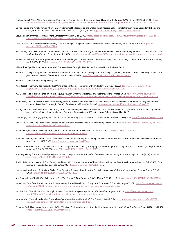- Koehler, Daniel. "Right-Wing Extremism and Terrorism in Europe: Current Developments and Issues for the Future." *PRISM* 6, no. 2 (2016): 85-104. [https://cco.](https://cco.ndu.edu/PRISM/PRISM-Volume-6-no-2/Article/839011/right-wing-extremism-and-terrorism-in-europe-current-developments-and-issues-fo/) [ndu.edu/PRISM/PRISM-Volume-6-no-2/Article/839011/right-wing-extremism-and-terrorism-in-europe-current-developments-and-issues-fo/](https://cco.ndu.edu/PRISM/PRISM-Volume-6-no-2/Article/839011/right-wing-extremism-and-terrorism-in-europe-current-developments-and-issues-fo/).
- Lakhani, Suraj, and Natalie James. "'Prevent Duty': Empirical Reflections on the Challenges of Addressing Far-Right Extremism within Secondary Schools and Colleges in the UK." *Critical Studies on Terrorism* 14, no. 1 (2021): 67-89. <https://doi.org/10.1080/17539153.2021.1876550>.
- Lee, Benjamin. Overview of the Far-Right. Lancaster University: CREST, 2019. [https://assets.publishing.service.gov.uk/government/uploads/system/uploads/](https://assets.publishing.service.gov.uk/government/uploads/system/uploads/attachment_data/file/816692/Ben_Lee_-_Overview_of_the_far_right.pdf) attachment\_data/file/816692/Ben\_Lee - Overview\_of\_the\_far\_right.pdf.
- Lees, Charles. "The 'Alternative for Germany': The Rise of Right-Wing Populism at the Heart of Europe." *Politics* 38, no. 3 (2018): 295-310. [https://doi.](https://doi.org/10.1177/0263395718777718) [org/10.1177/0263395718777718](https://doi.org/10.1177/0263395718777718).
- Macdonald, Stuart, Daniel Grinnell, Anina Kinzel and Nuria Lorenzo-Dus. "A Study of Outlinks Contained in Tweets Mentioning Rumiyah." *Global Research Network on Terrorism and Technology* no. 2 (2019). <https://gnet-research.org/2020/01/07/a-study-of-outlinks-contained-in-tweets-mentioning-rumiyah/>.
- McMahon, Richard. "Is Alt-Europe Possible? Populist Radical Right Counternarratives of European Integration." *Journal of Contemporary European Studies* 30, no. 1 (2022): 10-25. <https://doi.org/10.1080/14782804.2021.1919865>.
- Miller-Idriss, Cynthia. Hate in the Homeland: The New Global Far Right. New Jersey: Princeton University Press, 2020.
- Mudde, Cas. "Right-Wing Extremism Analysed: A comparative analysis of the ideologies of three alleged right-wing extremist parties (NPD, NDP, CP'86)." *European Journal of Political Research* 27, no. 2 (1995): 203-224. <https://doi.org/10.1111/j.1475-6765.1995.tb00636.x>.
- Mudde, Cas. *The Far Right Today.* Wiley, 2019.
- Nasr, Joseph. "Germany Designates Radical Wing of Far-right AfD as 'Extremist Entity.'" *Reuters,* March 12, 2020. [https://www.reuters.com/article/](https://www.reuters.com/article/us-germany-security/germany-designates-radical-wing-of-far-right-afd-as-extremist-entity-idUSKBN20Z1SW) [us-germany-security/germany-designates-radical-wing-of-far-right-afd-as-extremist-entity-idUSKBN20Z1SW](https://www.reuters.com/article/us-germany-security/germany-designates-radical-wing-of-far-right-afd-as-extremist-entity-idUSKBN20Z1SW).
- NATO Science and Technology and Committee (STC). *Russian Meddling in Elections and Referenda in the Alliance,* 2018. [https://www.nato-pa.int/down](https://www.nato-pa.int/download-file?filename=sites/default/files/2018-11/181%20STC%2018%20E%20fin%20-%20RUSSIAN%20MEDDLING%20-%20DAVIS%20REPORT.pdf)[load-file?filename=sites/default/files/2018-11/181%20STC%2018%20E%20fin%20-%20RUSSIAN%20MEDDLING%20-%20DAVIS%20REPORT.pdf](https://www.nato-pa.int/download-file?filename=sites/default/files/2018-11/181%20STC%2018%20E%20fin%20-%20RUSSIAN%20MEDDLING%20-%20DAVIS%20REPORT.pdf).
- Nouri, Lella, and Nuria Lorenzo-Dus. "Investigating Reclaim Australia and Britain First's Use of Social Media: Developing a New Model of Imagined Political Communities Online." *Journal for Deradicalization* no.18 (Spring 2019): 1-37. <https://journals.sfu.ca/jd/index.php/jd/article/view/183>.
- Pavan, Elena, and Manuela Caiani. "'Not in My Europe': Extreme Right Online Networks and Their Contestation of EU Legitimacy." In *Euroscepticism, Democracy and the Media*, edited by Manuela Caiani and Simona Guerra, 169–93. London, Palgrave Macmillan, 2017.
- Que, Fanyu, Krishnan Rajagopalan, and Tauhid Zaman. "Penetrating a Social Network: The Follow-back Problem." *arXiv,* 2018. <https://arxiv.org/abs/1804.02608>.
- Roose, Kevin. "How The Epoch Times Created a Giant Influence Machine." *The New York Times,* October 24, 2020. [https://www.nytimes.com/2020/10/24/tech](https://www.nytimes.com/2020/10/24/technology/epoch-times-influence-falun-gong.html)[nology/epoch-times-influence-falun-gong.html](https://www.nytimes.com/2020/10/24/technology/epoch-times-influence-falun-gong.html).
- Schumacher, Elizabeth. "Germany's Far-right AfD Can Be Put Under Surveillance." *DW,* March 8, 2022. [https://www.dw.com/en/](https://www.dw.com/en/germanys-far-right-afd-can-be-put-under-surveillance/a-61058359) [germanys-far-right-afd-can-be-put-under-surveillance/a-61058359](https://www.dw.com/en/germanys-far-right-afd-can-be-put-under-surveillance/a-61058359).
- Shehabat, Ahmad, and Teodor Mitew. "Black-boxing the black flag: anonymous sharing platforms and ISIS content distribution tactics." *Perspectives on Terrorism* 12, no. 1 (2018): 81-99. <https://www.jstor.org/stable/26343748>.
- Smith Dahmen, Nicole, and Daniel D. Morrison. "Place, Space, Time: Media gatekeeping and iconic imagery in the digital and social media age." *Digital Journalism* 4, no. 5 (2016): 658-678. <https://doi.org/10.1080/21670811.2015.1081073>.
- Stenberg, Georg. "Conceptual and perceptual factors in the picture superiority effect." European Journal of Cognitive Psychology 18, no. 6 (2006): 813-847. <https://doi.org/10.1080/09541440500412361>.
- Trujillo, Milo, Maurício Gruppi, Cody Buntain, and Benjamin D. Horne. "What is BitChute? Characterizing the 'Free Speech' Alternative to YouTube." *ACM Conference on Hypertext and Social Media*, 2020. <https://arxiv.org/pdf/2004.01984.pdf>.
- Urman, Aleksandra, and Stefan Katz. "What They Do in the Shadows: Examining the Far-Right Networks on Telegram." *Information, Communication & Society*  (2020). <https://doi.org/10.1080/1369118X.2020.1803946>.
- von Beyme, Klaus. "Right-Wing Extremism in Post-War Europe." *West European Politics* 11, no. 2 (1988): 1-18. <https://doi.org/10.1080/01402388808424678>.
- Wheeldon, Tom. "Martine Wonner, the Pro-Macron MP Turned French Covid Conspiracy 'Figurehead.'" *France24,* August 7, 2021. [https://www.france24.com/](https://www.france24.com/en/france/20210807-martine-wonner-the-pro-macron-mp-turned-french-covid-conspiracy-figurehead) [en/france/20210807-martine-wonner-the-pro-macron-mp-turned-french-covid-conspiracy-figurehead](https://www.france24.com/en/france/20210807-martine-wonner-the-pro-macron-mp-turned-french-covid-conspiracy-figurehead).
- Willsher, Kim. "French Court Jails Far-Right Activists Over Anti-Immigrant Alps Stunt." *The Guardian*, August 29, 2019. [https://www.theguardian.com/](https://www.theguardian.com/world/2019/aug/29/french-court-jails-far-right-activists-over-anti-migrant-alps-stunt) [world/2019/aug/29/french-court-jails-far-right-activists-over-anti-migrant-alps-stunt](https://www.theguardian.com/world/2019/aug/29/french-court-jails-far-right-activists-over-anti-migrant-alps-stunt).
- Wilsher, Kim. "France bans far-right 'paramilitary' group Génération Identitaire." *The Guardian*, March 3, 2021. [https://www.theguardian.com/world/2021/](https://www.theguardian.com/world/2021/mar/03/france-bans-far-right-paramilitary-group-generation-identitaire) [mar/03/france-bans-far-right-paramilitary-group-generation-identitaire](https://www.theguardian.com/world/2021/mar/03/france-bans-far-right-paramilitary-group-generation-identitaire).
- Zillmann, Dolf, Silvia Knobloch, and Hong-sik Yu. "Effects of Photographs on the Selective Reading of News Reports." *Media Psychology* 3, no. 4 (2001): 301-324. [https://doi.org/10.1207/s1532785xmep0304\\_01](https://doi.org/10.1207/s1532785xmep0304_01).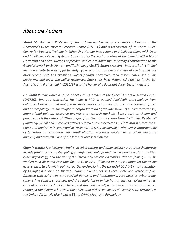## *About the Authors*

*Stuart Macdonald is Professor of Law at Swansea University, UK. Stuart is Director of the University's Cyber Threats Research Centre (CYTREC) and a Co-Director of its £7.5m EPSRC Centre for Doctoral Training in Enhancing Human Interactions and Collaborations with Data and Intelligence Driven Systems. Stuart is also the lead organiser of the biennial #TASMConf (Terrorism and Social Media Conference) and co-ordinates the University's contribution to the Global Network on Extremism and Technology (GNET). Stuart's research interests lie in criminal law and counterterrorism, particularly cyberterrorism and terrorists' use of the internet. His most recent work has examined violent jihadist narratives, their dissemination via online platforms, and legal and policy responses. Stuart has held visiting scholarships in the US, Australia and France and in 2016/17 was the holder of a Fulbright Cyber Security Award.*

*Dr. Kamil Yilmaz works as a post-doctoral researcher at the Cyber Threats Research Centre (CyTREC), Swansea University. He holds a PhD in applied (political) anthropology from Columbia University and multiple master's degrees in criminal justice, international affairs, and anthropology. He has taught undergraduate and graduate students in counterterrorism, international politics, discourse analysis and research methods, based both on theory and practice. He is the author of "Disengaging from Terrorism: Lessons from the Turkish Penitents" (Routledge 2014) and numerous articles related to counterterrorism. Dr. Yilmaz is interested in Computational Social Science and his research interests include political violence, anthropology of terrorism, radicalization and deradicalization processes related to terrorism, discourse analysis, and terrorists' use of the Internet and social media.* 

*Chamin Herath is a Research Analyst in cyber threats and cyber security. His research interests include foreign and UK cyber policy, emerging technology, and the development of smart cities, cyber psychology, and the use of the internet by violent extremists. Prior to joining RUSI, he worked as a Research Assistant for the University of Sussex on projects mapping the online ecosystem of two far-right political parties and exploring the spread of COVID-19 misinformation by far-right networks on Twitter. Chamin holds an MA in Cyber Crime and Terrorism from Swansea University where he studied domestic and international responses to cyber crime, cyber crime control strategies, and the regulation of online harms, such as violent extremist content on social media. He achieved a distinction overall, as well as in his dissertation which examined the dynamic between the online and offline behaviors of Islamic State terrorists in the United States. He also holds a BSc in Criminology and Psychology.*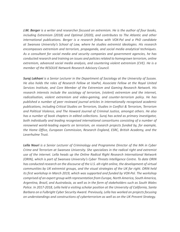*J.M. Berger is a writer and researcher focused on extremism. He is the author of four books, including Extremism (2018) and Optimal (2020), and contributes to The Atlantic and other international publications. Berger is a research fellow with VOX-Pol and a PhD candidate at Swansea University's School of Law, where he studies extremist ideologies. His research encompasses extremism and terrorism, propaganda, and social media analytical techniques. As a consultant for social media and security companies and government agencies, he has conducted research and training on issues and policies related to homegrown terrorism, online extremism, advanced social media analysis, and countering violent extremism (CVE). He is a member of the RESOLVE Network Research Advisory Council.* 

*Suraj Lakhani is a Senior Lecturer in the Department of Sociology at the University of Sussex. He also holds the roles of Research Fellow at VoxPol, Associate Fellow at the Royal United Services Institute, and Core Member of the Extremism and Gaming Research Network. His research interests include the sociology of terrorism, (violent) extremism and the internet, radicalisation, violent extremism and video-gaming, and counter-terrorism policy. He has published a number of peer reviewed journal articles in internationally recognised academic publications, including Critical Studies on Terrorism, Studies in Conflict & Terrorism, Terrorism and Political Violence, and The Howard Journal of Criminal Justice, amongst others. He also has a number of book chapters in edited collections. Suraj has acted as primary investigator, both individually and leading recognised international consortiums consisting of a number of renowned world-leading experts on terrorism, on research projects funded by, for example, the Home Office, European Commission, Research England, ESRC, British Academy, and the Leverhulme Trust.* 

*Lella Nouri is a Senior Lecturer of Criminology and Programme Director of the MA in Cyber Crime and Terrorism at Swansea University. She specializes in the radical right and extremist use of the internet. Lella heads up the Online Radical Right Research International Network (ORIN), which is part of Swansea University's Cyber Threats Intelligence Centre. To date ORIN has conducted research on the discourse of the U.S. alt-right online, the development of virtual communities by UK extremist groups, and the visual strategies of the UK far right. ORIN held its first workshop in March 2019, which was supported and funded by VOX-Pol. The workshop comprised of an expert group with representation from Europe, North America, South America, Argentina, Brazil, and Australasia, as well as in the form of stakeholders such as South Wales Police. In 2017-2018, Lella held a visiting scholar position at the University of California, Santa Barbara on a Fulbright Cyber Security Award. Previously, Lella has worked on projects focusing on understandings and constructions of cyberterrorism as well as on the UK Prevent Strategy.*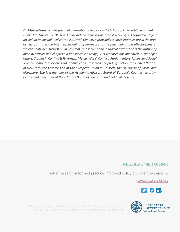*Dr. Maura Conway is Professor of International Security in the School of Law and Government at Dublin City University (DCU) in Dublin, Ireland, and Coordinator of VOX-Pol, an EU-funded project on violent online political extremism. Prof. Conway's principal research interests are in the area of terrorism and the Internet, including cyberterrorism, the functioning and effectiveness of violent political extremist online content, and violent online radicalization. She is the author of over 40 articles and chapters in her specialist area(s). Her research has appeared in, amongst others, Studies in Conflict & Terrorism, Media, War & Conflict, Parliamentary Affairs, and Social Science Computer Review. Prof. Conway has presented her findings before the United Nations in New York, the Commission of the European Union in Brussels, the UK House of Lords, and elsewhere. She is a member of the Academic Advisory Board of Europol's Counter-terrorism Centre and a member of the Editorial Board of Terrorism and Political Violence.* 

### **RESOLVE NETWORK**

better research**.**informed practice**.**improved policy on violent extremism**.**

www.resolvenet.org



RESOLVE is housed at the U.S. Institute of Peace, building upon the Institute's decades-long legacy of deep engagement in conflict affected communities. **Making Peace Possible**